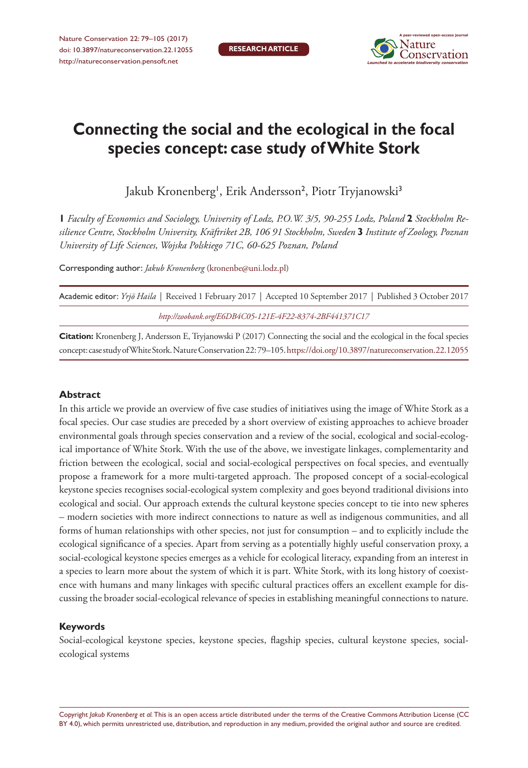

# **Connecting the social and the ecological in the focal species concept: case study of White Stork**

Jakub Kronenberg<sup>1</sup>, Erik Andersson<sup>2</sup>, Piotr Tryjanowski<sup>3</sup>

**1** *Faculty of Economics and Sociology, University of Lodz, P.O.W. 3/5, 90-255 Lodz, Poland* **2** *Stockholm Resilience Centre, Stockholm University, Kräftriket 2B, 106 91 Stockholm, Sweden* **3** *Institute of Zoology, Poznan University of Life Sciences, Wojska Polskiego 71C, 60-625 Poznan, Poland*

Corresponding author: *Jakub Kronenberg* ([kronenbe@uni.lodz.pl\)](mailto:kronenbe@uni.lodz.pl)

| Academic editor: <i>Yrjö Haila</i>   Received 1 February 2017   Accepted 10 September 2017   Published 3 October 2017 |
|-----------------------------------------------------------------------------------------------------------------------|
| http://zoobank.org/E6DB4C05-121E-4F22-8374-2BF441371C17                                                               |

**Citation:** Kronenberg J, Andersson E, Tryjanowski P (2017) Connecting the social and the ecological in the focal species concept: case study of White Stork. Nature Conservation 22: 79–105.<https://doi.org/10.3897/natureconservation.22.12055>

## **Abstract**

In this article we provide an overview of five case studies of initiatives using the image of White Stork as a focal species. Our case studies are preceded by a short overview of existing approaches to achieve broader environmental goals through species conservation and a review of the social, ecological and social-ecological importance of White Stork. With the use of the above, we investigate linkages, complementarity and friction between the ecological, social and social-ecological perspectives on focal species, and eventually propose a framework for a more multi-targeted approach. The proposed concept of a social-ecological keystone species recognises social-ecological system complexity and goes beyond traditional divisions into ecological and social. Our approach extends the cultural keystone species concept to tie into new spheres – modern societies with more indirect connections to nature as well as indigenous communities, and all forms of human relationships with other species, not just for consumption – and to explicitly include the ecological significance of a species. Apart from serving as a potentially highly useful conservation proxy, a social-ecological keystone species emerges as a vehicle for ecological literacy, expanding from an interest in a species to learn more about the system of which it is part. White Stork, with its long history of coexistence with humans and many linkages with specific cultural practices offers an excellent example for discussing the broader social-ecological relevance of species in establishing meaningful connections to nature.

## **Keywords**

Social-ecological keystone species, keystone species, flagship species, cultural keystone species, socialecological systems

Copyright *Jakub Kronenberg et al.* This is an open access article distributed under the terms of the [Creative Commons Attribution License \(CC](http://creativecommons.org/licenses/by/4.0/)  [BY 4.0\)](http://creativecommons.org/licenses/by/4.0/), which permits unrestricted use, distribution, and reproduction in any medium, provided the original author and source are credited.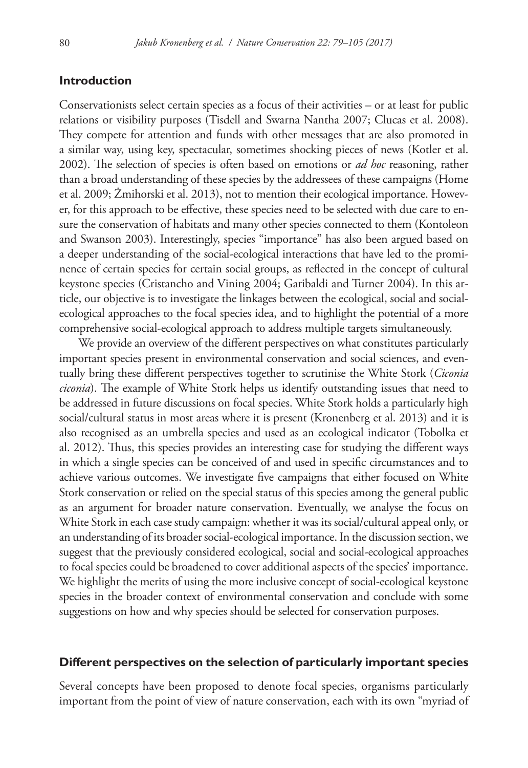# **Introduction**

Conservationists select certain species as a focus of their activities – or at least for public relations or visibility purposes (Tisdell and Swarna Nantha 2007; Clucas et al. 2008). They compete for attention and funds with other messages that are also promoted in a similar way, using key, spectacular, sometimes shocking pieces of news (Kotler et al. 2002). The selection of species is often based on emotions or *ad hoc* reasoning, rather than a broad understanding of these species by the addressees of these campaigns (Home et al. 2009; Żmihorski et al. 2013), not to mention their ecological importance. However, for this approach to be effective, these species need to be selected with due care to ensure the conservation of habitats and many other species connected to them (Kontoleon and Swanson 2003). Interestingly, species "importance" has also been argued based on a deeper understanding of the social-ecological interactions that have led to the prominence of certain species for certain social groups, as reflected in the concept of cultural keystone species (Cristancho and Vining 2004; Garibaldi and Turner 2004). In this article, our objective is to investigate the linkages between the ecological, social and socialecological approaches to the focal species idea, and to highlight the potential of a more comprehensive social-ecological approach to address multiple targets simultaneously.

We provide an overview of the different perspectives on what constitutes particularly important species present in environmental conservation and social sciences, and eventually bring these different perspectives together to scrutinise the White Stork (*Ciconia ciconia*). The example of White Stork helps us identify outstanding issues that need to be addressed in future discussions on focal species. White Stork holds a particularly high social/cultural status in most areas where it is present (Kronenberg et al. 2013) and it is also recognised as an umbrella species and used as an ecological indicator (Tobolka et al. 2012). Thus, this species provides an interesting case for studying the different ways in which a single species can be conceived of and used in specific circumstances and to achieve various outcomes. We investigate five campaigns that either focused on White Stork conservation or relied on the special status of this species among the general public as an argument for broader nature conservation. Eventually, we analyse the focus on White Stork in each case study campaign: whether it was its social/cultural appeal only, or an understanding of its broader social-ecological importance. In the discussion section, we suggest that the previously considered ecological, social and social-ecological approaches to focal species could be broadened to cover additional aspects of the species' importance. We highlight the merits of using the more inclusive concept of social-ecological keystone species in the broader context of environmental conservation and conclude with some suggestions on how and why species should be selected for conservation purposes.

#### **Different perspectives on the selection of particularly important species**

Several concepts have been proposed to denote focal species, organisms particularly important from the point of view of nature conservation, each with its own "myriad of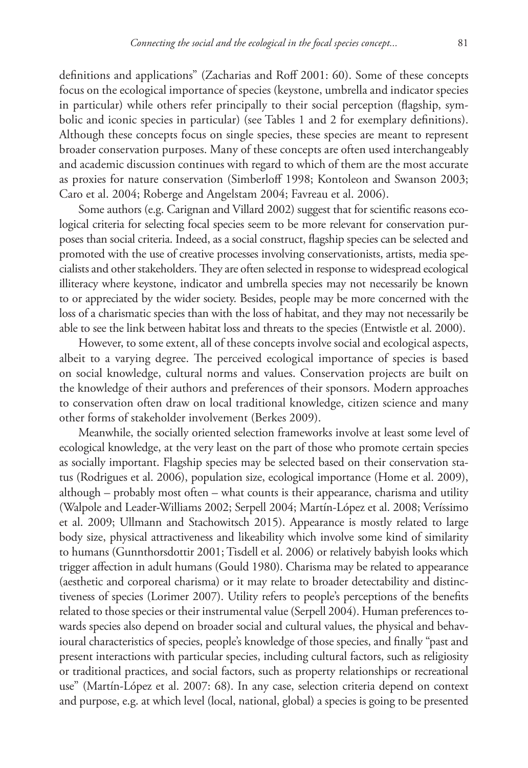definitions and applications" (Zacharias and Roff 2001: 60). Some of these concepts focus on the ecological importance of species (keystone, umbrella and indicator species in particular) while others refer principally to their social perception (flagship, symbolic and iconic species in particular) (see Tables 1 and 2 for exemplary definitions). Although these concepts focus on single species, these species are meant to represent broader conservation purposes. Many of these concepts are often used interchangeably and academic discussion continues with regard to which of them are the most accurate as proxies for nature conservation (Simberloff 1998; Kontoleon and Swanson 2003; Caro et al. 2004; Roberge and Angelstam 2004; Favreau et al. 2006).

Some authors (e.g. Carignan and Villard 2002) suggest that for scientific reasons ecological criteria for selecting focal species seem to be more relevant for conservation purposes than social criteria. Indeed, as a social construct, flagship species can be selected and promoted with the use of creative processes involving conservationists, artists, media specialists and other stakeholders. They are often selected in response to widespread ecological illiteracy where keystone, indicator and umbrella species may not necessarily be known to or appreciated by the wider society. Besides, people may be more concerned with the loss of a charismatic species than with the loss of habitat, and they may not necessarily be able to see the link between habitat loss and threats to the species (Entwistle et al. 2000).

However, to some extent, all of these concepts involve social and ecological aspects, albeit to a varying degree. The perceived ecological importance of species is based on social knowledge, cultural norms and values. Conservation projects are built on the knowledge of their authors and preferences of their sponsors. Modern approaches to conservation often draw on local traditional knowledge, citizen science and many other forms of stakeholder involvement (Berkes 2009).

Meanwhile, the socially oriented selection frameworks involve at least some level of ecological knowledge, at the very least on the part of those who promote certain species as socially important. Flagship species may be selected based on their conservation status (Rodrigues et al. 2006), population size, ecological importance (Home et al. 2009), although – probably most often – what counts is their appearance, charisma and utility (Walpole and Leader-Williams 2002; Serpell 2004; Martín-López et al. 2008; Veríssimo et al. 2009; Ullmann and Stachowitsch 2015). Appearance is mostly related to large body size, physical attractiveness and likeability which involve some kind of similarity to humans (Gunnthorsdottir 2001; Tisdell et al. 2006) or relatively babyish looks which trigger affection in adult humans (Gould 1980). Charisma may be related to appearance (aesthetic and corporeal charisma) or it may relate to broader detectability and distinctiveness of species (Lorimer 2007). Utility refers to people's perceptions of the benefits related to those species or their instrumental value (Serpell 2004). Human preferences towards species also depend on broader social and cultural values, the physical and behavioural characteristics of species, people's knowledge of those species, and finally "past and present interactions with particular species, including cultural factors, such as religiosity or traditional practices, and social factors, such as property relationships or recreational use" (Martín-López et al. 2007: 68). In any case, selection criteria depend on context and purpose, e.g. at which level (local, national, global) a species is going to be presented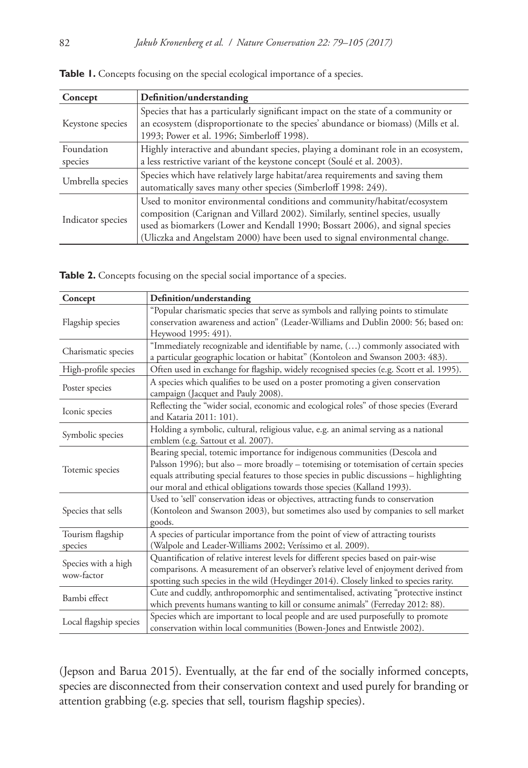| Concept               | Definition/understanding                                                                                                                                                                                                                                                                                                  |
|-----------------------|---------------------------------------------------------------------------------------------------------------------------------------------------------------------------------------------------------------------------------------------------------------------------------------------------------------------------|
| Keystone species      | Species that has a particularly significant impact on the state of a community or<br>an ecosystem (disproportionate to the species' abundance or biomass) (Mills et al.<br>1993; Power et al. 1996; Simberloff 1998).                                                                                                     |
| Foundation<br>species | Highly interactive and abundant species, playing a dominant role in an ecosystem,<br>a less restrictive variant of the keystone concept (Soulé et al. 2003).                                                                                                                                                              |
| Umbrella species      | Species which have relatively large habitat/area requirements and saving them<br>automatically saves many other species (Simberloff 1998: 249).                                                                                                                                                                           |
| Indicator species     | Used to monitor environmental conditions and community/habitat/ecosystem<br>composition (Carignan and Villard 2002). Similarly, sentinel species, usually<br>used as biomarkers (Lower and Kendall 1990; Bossart 2006), and signal species<br>(Uliczka and Angelstam 2000) have been used to signal environmental change. |

|  |  |  |  |  |  |  | Table 1. Concepts focusing on the special ecological importance of a species. |  |  |
|--|--|--|--|--|--|--|-------------------------------------------------------------------------------|--|--|
|--|--|--|--|--|--|--|-------------------------------------------------------------------------------|--|--|

| Table 2. Concepts focusing on the special social importance of a species. |  |  |  |  |  |
|---------------------------------------------------------------------------|--|--|--|--|--|
|---------------------------------------------------------------------------|--|--|--|--|--|

| Concept                           | Definition/understanding                                                                                                                                                                                                                                                                                                                      |
|-----------------------------------|-----------------------------------------------------------------------------------------------------------------------------------------------------------------------------------------------------------------------------------------------------------------------------------------------------------------------------------------------|
|                                   | "Popular charismatic species that serve as symbols and rallying points to stimulate                                                                                                                                                                                                                                                           |
| Flagship species                  | conservation awareness and action" (Leader-Williams and Dublin 2000: 56; based on:<br>Heywood 1995: 491).                                                                                                                                                                                                                                     |
| Charismatic species               | "Immediately recognizable and identifiable by name, () commonly associated with<br>a particular geographic location or habitat" (Kontoleon and Swanson 2003: 483).                                                                                                                                                                            |
| High-profile species              | Often used in exchange for flagship, widely recognised species (e.g. Scott et al. 1995).                                                                                                                                                                                                                                                      |
| Poster species                    | A species which qualifies to be used on a poster promoting a given conservation<br>campaign (Jacquet and Pauly 2008).                                                                                                                                                                                                                         |
| Iconic species                    | Reflecting the "wider social, economic and ecological roles" of those species (Everard<br>and Kataria 2011: 101).                                                                                                                                                                                                                             |
| Symbolic species                  | Holding a symbolic, cultural, religious value, e.g. an animal serving as a national<br>emblem (e.g. Sattout et al. 2007).                                                                                                                                                                                                                     |
| Totemic species                   | Bearing special, totemic importance for indigenous communities (Descola and<br>Palsson 1996); but also - more broadly - totemising or totemisation of certain species<br>equals attributing special features to those species in public discussions - highlighting<br>our moral and ethical obligations towards those species (Kalland 1993). |
| Species that sells                | Used to 'sell' conservation ideas or objectives, attracting funds to conservation<br>(Kontoleon and Swanson 2003), but sometimes also used by companies to sell market<br>goods.                                                                                                                                                              |
| Tourism flagship<br>species       | A species of particular importance from the point of view of attracting tourists<br>(Walpole and Leader-Williams 2002; Veríssimo et al. 2009).                                                                                                                                                                                                |
| Species with a high<br>wow-factor | Quantification of relative interest levels for different species based on pair-wise<br>comparisons. A measurement of an observer's relative level of enjoyment derived from<br>spotting such species in the wild (Heydinger 2014). Closely linked to species rarity.                                                                          |
| Bambi effect                      | Cute and cuddly, anthropomorphic and sentimentalised, activating "protective instinct<br>which prevents humans wanting to kill or consume animals" (Ferreday 2012: 88).                                                                                                                                                                       |
| Local flagship species            | Species which are important to local people and are used purposefully to promote<br>conservation within local communities (Bowen-Jones and Entwistle 2002).                                                                                                                                                                                   |

(Jepson and Barua 2015). Eventually, at the far end of the socially informed concepts, species are disconnected from their conservation context and used purely for branding or attention grabbing (e.g. species that sell, tourism flagship species).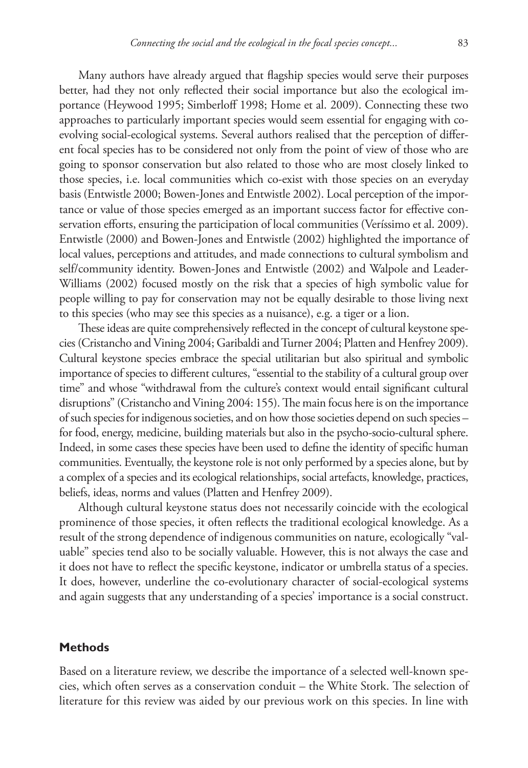Many authors have already argued that flagship species would serve their purposes better, had they not only reflected their social importance but also the ecological importance (Heywood 1995; Simberloff 1998; Home et al. 2009). Connecting these two approaches to particularly important species would seem essential for engaging with coevolving social-ecological systems. Several authors realised that the perception of different focal species has to be considered not only from the point of view of those who are going to sponsor conservation but also related to those who are most closely linked to those species, i.e. local communities which co-exist with those species on an everyday basis (Entwistle 2000; Bowen-Jones and Entwistle 2002). Local perception of the importance or value of those species emerged as an important success factor for effective conservation efforts, ensuring the participation of local communities (Veríssimo et al. 2009). Entwistle (2000) and Bowen-Jones and Entwistle (2002) highlighted the importance of local values, perceptions and attitudes, and made connections to cultural symbolism and self/community identity. Bowen-Jones and Entwistle (2002) and Walpole and Leader-Williams (2002) focused mostly on the risk that a species of high symbolic value for people willing to pay for conservation may not be equally desirable to those living next to this species (who may see this species as a nuisance), e.g. a tiger or a lion.

These ideas are quite comprehensively reflected in the concept of cultural keystone species (Cristancho and Vining 2004; Garibaldi and Turner 2004; Platten and Henfrey 2009). Cultural keystone species embrace the special utilitarian but also spiritual and symbolic importance of species to different cultures, "essential to the stability of a cultural group over time" and whose "withdrawal from the culture's context would entail significant cultural disruptions" (Cristancho and Vining 2004: 155). The main focus here is on the importance of such species for indigenous societies, and on how those societies depend on such species – for food, energy, medicine, building materials but also in the psycho-socio-cultural sphere. Indeed, in some cases these species have been used to define the identity of specific human communities. Eventually, the keystone role is not only performed by a species alone, but by a complex of a species and its ecological relationships, social artefacts, knowledge, practices, beliefs, ideas, norms and values (Platten and Henfrey 2009).

Although cultural keystone status does not necessarily coincide with the ecological prominence of those species, it often reflects the traditional ecological knowledge. As a result of the strong dependence of indigenous communities on nature, ecologically "valuable" species tend also to be socially valuable. However, this is not always the case and it does not have to reflect the specific keystone, indicator or umbrella status of a species. It does, however, underline the co-evolutionary character of social-ecological systems and again suggests that any understanding of a species' importance is a social construct.

## **Methods**

Based on a literature review, we describe the importance of a selected well-known species, which often serves as a conservation conduit – the White Stork. The selection of literature for this review was aided by our previous work on this species. In line with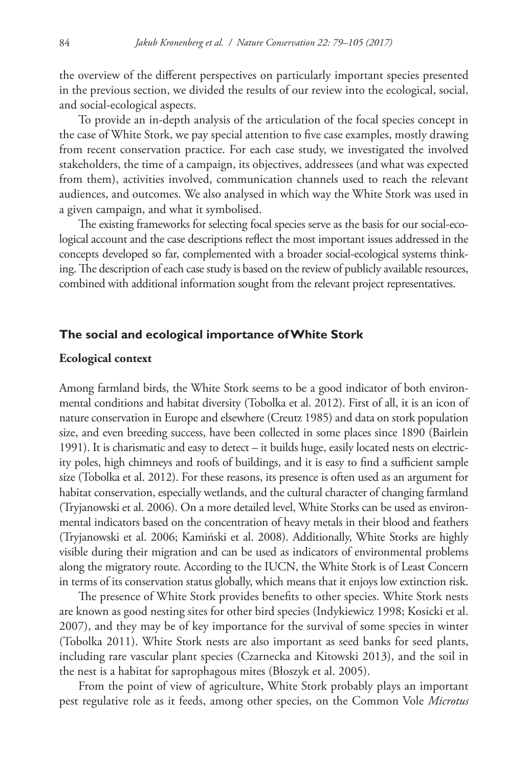the overview of the different perspectives on particularly important species presented in the previous section, we divided the results of our review into the ecological, social, and social-ecological aspects.

To provide an in-depth analysis of the articulation of the focal species concept in the case of White Stork, we pay special attention to five case examples, mostly drawing from recent conservation practice. For each case study, we investigated the involved stakeholders, the time of a campaign, its objectives, addressees (and what was expected from them), activities involved, communication channels used to reach the relevant audiences, and outcomes. We also analysed in which way the White Stork was used in a given campaign, and what it symbolised.

The existing frameworks for selecting focal species serve as the basis for our social-ecological account and the case descriptions reflect the most important issues addressed in the concepts developed so far, complemented with a broader social-ecological systems thinking. The description of each case study is based on the review of publicly available resources, combined with additional information sought from the relevant project representatives.

## **The social and ecological importance of White Stork**

#### **Ecological context**

Among farmland birds, the White Stork seems to be a good indicator of both environmental conditions and habitat diversity (Tobolka et al. 2012). First of all, it is an icon of nature conservation in Europe and elsewhere (Creutz 1985) and data on stork population size, and even breeding success, have been collected in some places since 1890 (Bairlein 1991). It is charismatic and easy to detect – it builds huge, easily located nests on electricity poles, high chimneys and roofs of buildings, and it is easy to find a sufficient sample size (Tobolka et al. 2012). For these reasons, its presence is often used as an argument for habitat conservation, especially wetlands, and the cultural character of changing farmland (Tryjanowski et al. 2006). On a more detailed level, White Storks can be used as environmental indicators based on the concentration of heavy metals in their blood and feathers (Tryjanowski et al. 2006; Kamiński et al. 2008). Additionally, White Storks are highly visible during their migration and can be used as indicators of environmental problems along the migratory route. According to the IUCN, the White Stork is of Least Concern in terms of its conservation status globally, which means that it enjoys low extinction risk.

The presence of White Stork provides benefits to other species. White Stork nests are known as good nesting sites for other bird species (Indykiewicz 1998; Kosicki et al. 2007), and they may be of key importance for the survival of some species in winter (Tobolka 2011). White Stork nests are also important as seed banks for seed plants, including rare vascular plant species (Czarnecka and Kitowski 2013), and the soil in the nest is a habitat for saprophagous mites (Błoszyk et al. 2005).

From the point of view of agriculture, White Stork probably plays an important pest regulative role as it feeds, among other species, on the Common Vole *Microtus*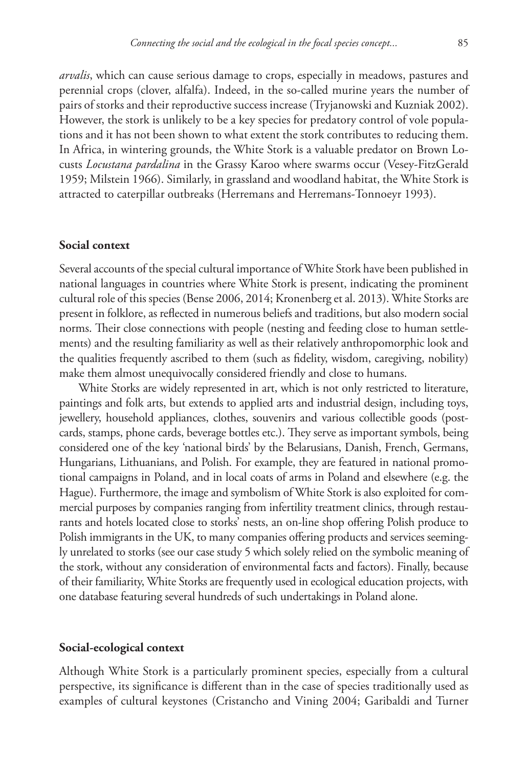*arvalis*, which can cause serious damage to crops, especially in meadows, pastures and perennial crops (clover, alfalfa). Indeed, in the so-called murine years the number of pairs of storks and their reproductive success increase (Tryjanowski and Kuzniak 2002). However, the stork is unlikely to be a key species for predatory control of vole populations and it has not been shown to what extent the stork contributes to reducing them. In Africa, in wintering grounds, the White Stork is a valuable predator on Brown Locusts *Locustana pardalina* in the Grassy Karoo where swarms occur (Vesey-FitzGerald 1959; Milstein 1966). Similarly, in grassland and woodland habitat, the White Stork is attracted to caterpillar outbreaks (Herremans and Herremans-Tonnoeyr 1993).

#### **Social context**

Several accounts of the special cultural importance of White Stork have been published in national languages in countries where White Stork is present, indicating the prominent cultural role of this species (Bense 2006, 2014; Kronenberg et al. 2013). White Storks are present in folklore, as reflected in numerous beliefs and traditions, but also modern social norms. Their close connections with people (nesting and feeding close to human settlements) and the resulting familiarity as well as their relatively anthropomorphic look and the qualities frequently ascribed to them (such as fidelity, wisdom, caregiving, nobility) make them almost unequivocally considered friendly and close to humans.

White Storks are widely represented in art, which is not only restricted to literature, paintings and folk arts, but extends to applied arts and industrial design, including toys, jewellery, household appliances, clothes, souvenirs and various collectible goods (postcards, stamps, phone cards, beverage bottles etc.). They serve as important symbols, being considered one of the key 'national birds' by the Belarusians, Danish, French, Germans, Hungarians, Lithuanians, and Polish. For example, they are featured in national promotional campaigns in Poland, and in local coats of arms in Poland and elsewhere (e.g. the Hague). Furthermore, the image and symbolism of White Stork is also exploited for commercial purposes by companies ranging from infertility treatment clinics, through restaurants and hotels located close to storks' nests, an on-line shop offering Polish produce to Polish immigrants in the UK, to many companies offering products and services seemingly unrelated to storks (see our case study 5 which solely relied on the symbolic meaning of the stork, without any consideration of environmental facts and factors). Finally, because of their familiarity, White Storks are frequently used in ecological education projects, with one database featuring several hundreds of such undertakings in Poland alone.

#### **Social-ecological context**

Although White Stork is a particularly prominent species, especially from a cultural perspective, its significance is different than in the case of species traditionally used as examples of cultural keystones (Cristancho and Vining 2004; Garibaldi and Turner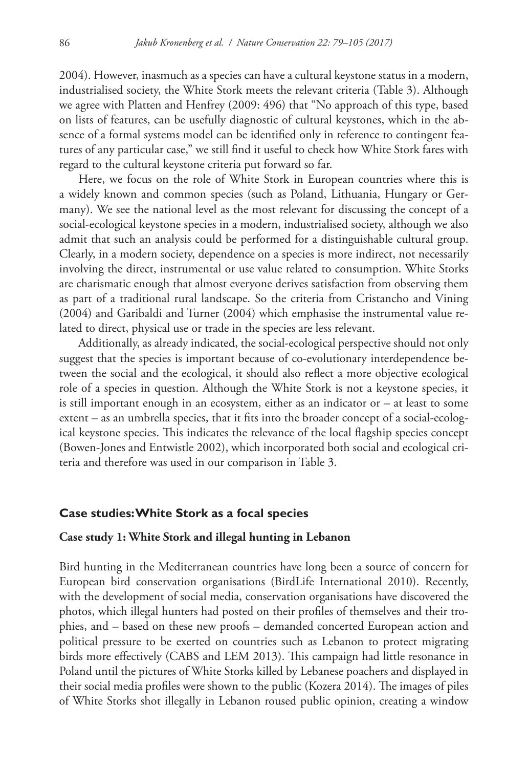2004). However, inasmuch as a species can have a cultural keystone status in a modern, industrialised society, the White Stork meets the relevant criteria (Table 3). Although we agree with Platten and Henfrey (2009: 496) that "No approach of this type, based on lists of features, can be usefully diagnostic of cultural keystones, which in the absence of a formal systems model can be identified only in reference to contingent features of any particular case," we still find it useful to check how White Stork fares with regard to the cultural keystone criteria put forward so far.

Here, we focus on the role of White Stork in European countries where this is a widely known and common species (such as Poland, Lithuania, Hungary or Germany). We see the national level as the most relevant for discussing the concept of a social-ecological keystone species in a modern, industrialised society, although we also admit that such an analysis could be performed for a distinguishable cultural group. Clearly, in a modern society, dependence on a species is more indirect, not necessarily involving the direct, instrumental or use value related to consumption. White Storks are charismatic enough that almost everyone derives satisfaction from observing them as part of a traditional rural landscape. So the criteria from Cristancho and Vining (2004) and Garibaldi and Turner (2004) which emphasise the instrumental value related to direct, physical use or trade in the species are less relevant.

Additionally, as already indicated, the social-ecological perspective should not only suggest that the species is important because of co-evolutionary interdependence between the social and the ecological, it should also reflect a more objective ecological role of a species in question. Although the White Stork is not a keystone species, it is still important enough in an ecosystem, either as an indicator or  $-$  at least to some extent – as an umbrella species, that it fits into the broader concept of a social-ecological keystone species. This indicates the relevance of the local flagship species concept (Bowen-Jones and Entwistle 2002), which incorporated both social and ecological criteria and therefore was used in our comparison in Table 3.

## **Case studies: White Stork as a focal species**

#### **Case study 1: White Stork and illegal hunting in Lebanon**

Bird hunting in the Mediterranean countries have long been a source of concern for European bird conservation organisations (BirdLife International 2010). Recently, with the development of social media, conservation organisations have discovered the photos, which illegal hunters had posted on their profiles of themselves and their trophies, and – based on these new proofs – demanded concerted European action and political pressure to be exerted on countries such as Lebanon to protect migrating birds more effectively (CABS and LEM 2013). This campaign had little resonance in Poland until the pictures of White Storks killed by Lebanese poachers and displayed in their social media profiles were shown to the public (Kozera 2014). The images of piles of White Storks shot illegally in Lebanon roused public opinion, creating a window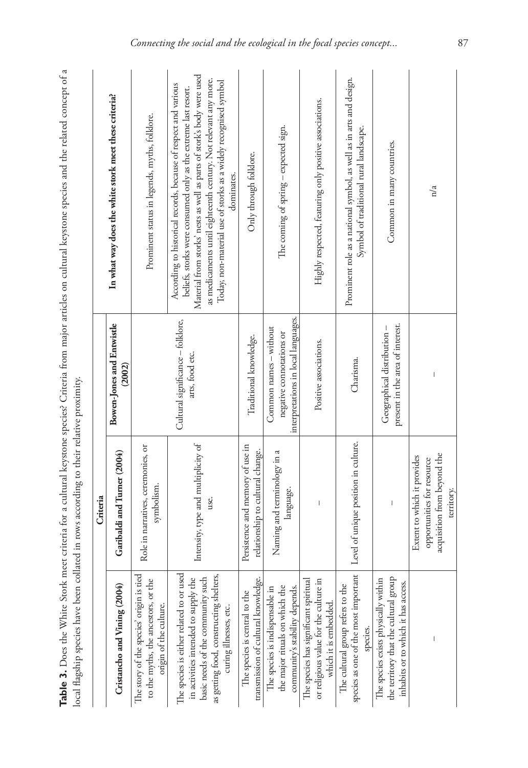| j                                                                                               |
|-------------------------------------------------------------------------------------------------|
| :<br>$+ -$<br>ā                                                                                 |
| ֖֖֖֖֖ׅ֖֖֚֚֚֚֚֚֚֚֚֚֚֚֚֚֚֚֚֚֚֚֚֚֚֚֚֚֡֓֟֓֓֓֞֓֓֞֓֞֓֓֡֟֓֓֞֓֡֓֓֞<br>;<br>$\frac{1}{2}$<br>ł<br>i<br>¢ |
| ٤<br>י<br>י<br>j<br>afe<br>$\frac{1}{2}$<br>į                                                   |
| ť<br>ı<br>ı<br>í<br>ı<br>ć                                                                      |
|                                                                                                 |

|                                                                                                                                                                                            | Criteria                                                                                               |                                                                                           |                                                                                                                                                                                                                                                                                                                                                                 |
|--------------------------------------------------------------------------------------------------------------------------------------------------------------------------------------------|--------------------------------------------------------------------------------------------------------|-------------------------------------------------------------------------------------------|-----------------------------------------------------------------------------------------------------------------------------------------------------------------------------------------------------------------------------------------------------------------------------------------------------------------------------------------------------------------|
| Cristancho and Vining (2004)                                                                                                                                                               | Garibaldi and Turner (2004)                                                                            | <b>Bowen-Jones and Entwistle</b><br>(2002)                                                | In what way does the white stork meet these criteria?                                                                                                                                                                                                                                                                                                           |
| The story of the species' origin is tied<br>to the myths, the ancestors, or the<br>origin of the culture.                                                                                  | Role in narratives, ceremonies, or<br>symbolism.                                                       |                                                                                           | Prominent status in legends, myths, folklore.                                                                                                                                                                                                                                                                                                                   |
| The species is either related to or used<br>as getting food, constructing shelters,<br>basic needs of the community such<br>in activities intended to supply the<br>curing illnesses, etc. | Intensity, type and multiplicity of<br>use.                                                            | Cultural significance - folklore,<br>arts, food etc.                                      | Material from storks' nests as well as parts of stork's body were used<br>as medicaments until eighteenth century. Not relevant any more.<br>Today, non-material use of storks as a widely recognised symbol<br>According to historical records, because of respect and various<br>beliefs, storks were consumed only as the extreme last resort.<br>dominates. |
| transmission of cultural knowledge.<br>The species is central to the                                                                                                                       | Persistence and memory of use in<br>relationship to cultural change.                                   | Traditional knowledge.                                                                    | Only through folklore.                                                                                                                                                                                                                                                                                                                                          |
| the major rituals on which the<br>community's stability depends.<br>The species is indispensable in                                                                                        | Naming and terminology in a<br>language.                                                               | interpretations in local languages.<br>Common names - without<br>negative connotations or | The coming of spring - expected sign.                                                                                                                                                                                                                                                                                                                           |
| or religious value for the culture in<br>The species has significant spiritual<br>which it is embedded.                                                                                    | I                                                                                                      | Positive associations.                                                                    | Highly respected, featuring only positive associations.                                                                                                                                                                                                                                                                                                         |
| species as one of the most important<br>The cultural group refers to the<br>species.                                                                                                       | Level of unique position in culture.                                                                   | Charisma.                                                                                 | Prominent role as a national symbol, as well as in arts and design.<br>Symbol of traditional rural landscape.                                                                                                                                                                                                                                                   |
| the territory that the cultural group<br>The species exists physically within<br>inhabits or to which it has access.                                                                       |                                                                                                        | present in the area of interest.<br>Geographical distribution-                            | Common in many countries.                                                                                                                                                                                                                                                                                                                                       |
|                                                                                                                                                                                            | acquisition from beyond the<br>Extent to which it provides<br>opportunities for resource<br>territory. |                                                                                           | n/a                                                                                                                                                                                                                                                                                                                                                             |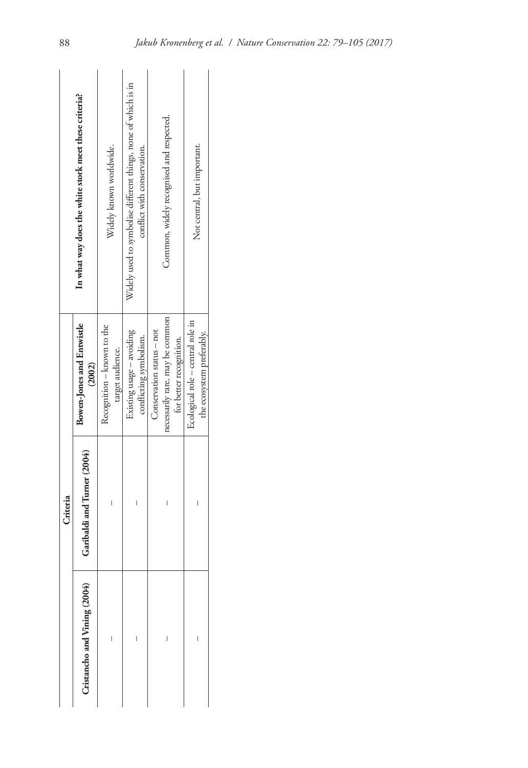|                              | Criteria                    |                                                                                         |                                                                                               |
|------------------------------|-----------------------------|-----------------------------------------------------------------------------------------|-----------------------------------------------------------------------------------------------|
| Cristancho and Vining (2004) | Garibaldi and Turner (2004) | Bowen-Jones and Entwistle<br>(2002)                                                     | In what way does the white stork meet these criteria?                                         |
|                              |                             | Recognition - known to the<br>target audience.                                          | Widely known worldwide.                                                                       |
| l                            | I                           | Existing usage - avoiding<br>conflicting symbolism.                                     | Widely used to symbolise different things, none of which is in<br>conflict with conservation. |
| I                            | I                           | necessarily rare, may be common<br>Conservation status - not<br>for better recognition. | Common, widely recognised and respected.                                                      |
|                              |                             | Ecological role - central role in<br>the ecosystem preferably.                          | Not central, but important.                                                                   |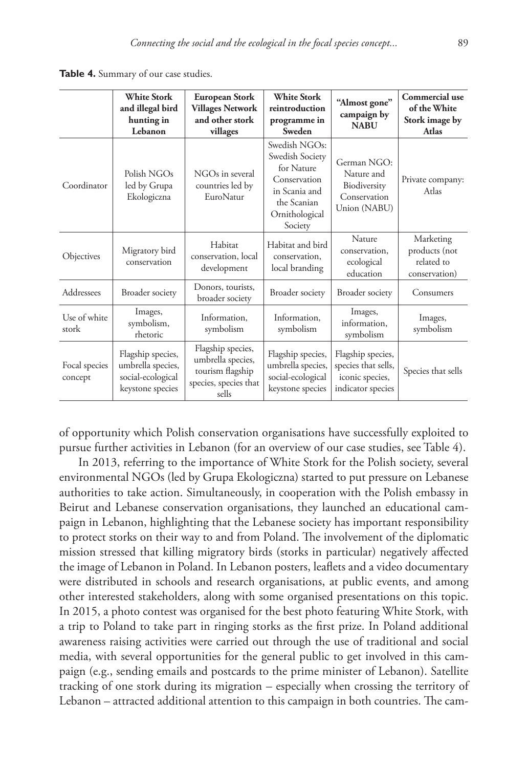**Table 4.** Summary of our case studies.

|                          | <b>White Stork</b><br>and illegal bird<br>hunting in<br>Lebanon                 | European Stork<br><b>Villages Network</b><br>and other stork<br>villages                     | <b>White Stork</b><br>reintroduction<br>programme in<br>Sweden                                                              | "Almost gone"<br>campaign by<br><b>NABU</b>                                      | Commercial use<br>of the White<br>Stork image by<br><b>Atlas</b> |
|--------------------------|---------------------------------------------------------------------------------|----------------------------------------------------------------------------------------------|-----------------------------------------------------------------------------------------------------------------------------|----------------------------------------------------------------------------------|------------------------------------------------------------------|
| Coordinator              | Polish NGOs<br>led by Grupa<br>Ekologiczna                                      | NGOs in several<br>countries led by<br>EuroNatur                                             | Swedish NGOs:<br>Swedish Society<br>for Nature<br>Conservation<br>in Scania and<br>the Scanian<br>Ornithological<br>Society | German NGO:<br>Nature and<br>Biodiversity<br>Conservation<br>Union (NABU)        | Private company:<br>Atlas                                        |
| Objectives               | Migratory bird<br>conservation                                                  | Habitat<br>conservation, local<br>development                                                | Habitat and bird<br>conservation.<br>local branding                                                                         | Nature<br>conservation.<br>ecological<br>education                               | Marketing<br>products (not<br>related to<br>conservation)        |
| Addressees               | Broader society                                                                 | Donors, tourists,<br>broader society                                                         | Broader society                                                                                                             | Broader society                                                                  | Consumers                                                        |
| Use of white<br>stork    | Images,<br>symbolism,<br>rhetoric                                               | Information.<br>symbolism                                                                    | Information.<br>symbolism                                                                                                   | Images,<br>information.<br>symbolism                                             | Images,<br>symbolism                                             |
| Focal species<br>concept | Flagship species,<br>umbrella species,<br>social-ecological<br>keystone species | Flagship species,<br>umbrella species,<br>tourism flagship<br>species, species that<br>sells | Flagship species,<br>umbrella species,<br>social-ecological<br>keystone species                                             | Flagship species,<br>species that sells,<br>iconic species,<br>indicator species | Species that sells                                               |

of opportunity which Polish conservation organisations have successfully exploited to pursue further activities in Lebanon (for an overview of our case studies, see Table 4).

In 2013, referring to the importance of White Stork for the Polish society, several environmental NGOs (led by Grupa Ekologiczna) started to put pressure on Lebanese authorities to take action. Simultaneously, in cooperation with the Polish embassy in Beirut and Lebanese conservation organisations, they launched an educational campaign in Lebanon, highlighting that the Lebanese society has important responsibility to protect storks on their way to and from Poland. The involvement of the diplomatic mission stressed that killing migratory birds (storks in particular) negatively affected the image of Lebanon in Poland. In Lebanon posters, leaflets and a video documentary were distributed in schools and research organisations, at public events, and among other interested stakeholders, along with some organised presentations on this topic. In 2015, a photo contest was organised for the best photo featuring White Stork, with a trip to Poland to take part in ringing storks as the first prize. In Poland additional awareness raising activities were carried out through the use of traditional and social media, with several opportunities for the general public to get involved in this campaign (e.g., sending emails and postcards to the prime minister of Lebanon). Satellite tracking of one stork during its migration – especially when crossing the territory of Lebanon – attracted additional attention to this campaign in both countries. The cam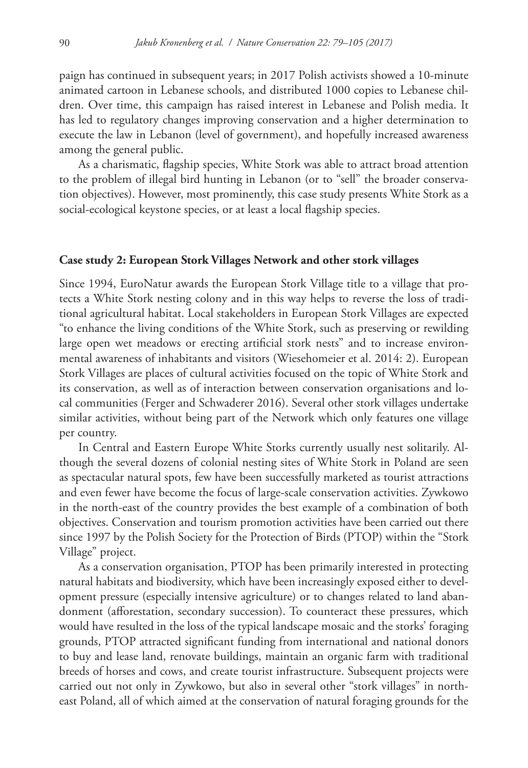paign has continued in subsequent years; in 2017 Polish activists showed a 10-minute animated cartoon in Lebanese schools, and distributed 1000 copies to Lebanese children. Over time, this campaign has raised interest in Lebanese and Polish media. It has led to regulatory changes improving conservation and a higher determination to execute the law in Lebanon (level of government), and hopefully increased awareness among the general public.

As a charismatic, flagship species, White Stork was able to attract broad attention to the problem of illegal bird hunting in Lebanon (or to "sell" the broader conservation objectives). However, most prominently, this case study presents White Stork as a social-ecological keystone species, or at least a local flagship species.

#### **Case study 2: European Stork Villages Network and other stork villages**

Since 1994, EuroNatur awards the European Stork Village title to a village that protects a White Stork nesting colony and in this way helps to reverse the loss of traditional agricultural habitat. Local stakeholders in European Stork Villages are expected "to enhance the living conditions of the White Stork, such as preserving or rewilding large open wet meadows or erecting artificial stork nests" and to increase environmental awareness of inhabitants and visitors (Wiesehomeier et al. 2014: 2). European Stork Villages are places of cultural activities focused on the topic of White Stork and its conservation, as well as of interaction between conservation organisations and local communities (Ferger and Schwaderer 2016). Several other stork villages undertake similar activities, without being part of the Network which only features one village per country.

In Central and Eastern Europe White Storks currently usually nest solitarily. Although the several dozens of colonial nesting sites of White Stork in Poland are seen as spectacular natural spots, few have been successfully marketed as tourist attractions and even fewer have become the focus of large-scale conservation activities. Zywkowo in the north-east of the country provides the best example of a combination of both objectives. Conservation and tourism promotion activities have been carried out there since 1997 by the Polish Society for the Protection of Birds (PTOP) within the "Stork Village" project.

As a conservation organisation, PTOP has been primarily interested in protecting natural habitats and biodiversity, which have been increasingly exposed either to development pressure (especially intensive agriculture) or to changes related to land abandonment (afforestation, secondary succession). To counteract these pressures, which would have resulted in the loss of the typical landscape mosaic and the storks' foraging grounds, PTOP attracted significant funding from international and national donors to buy and lease land, renovate buildings, maintain an organic farm with traditional breeds of horses and cows, and create tourist infrastructure. Subsequent projects were carried out not only in Zywkowo, but also in several other "stork villages" in northeast Poland, all of which aimed at the conservation of natural foraging grounds for the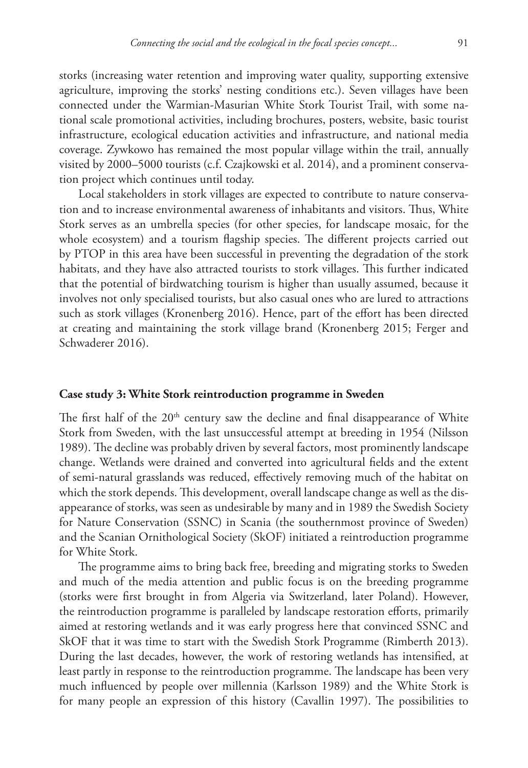storks (increasing water retention and improving water quality, supporting extensive agriculture, improving the storks' nesting conditions etc.). Seven villages have been connected under the Warmian-Masurian White Stork Tourist Trail, with some national scale promotional activities, including brochures, posters, website, basic tourist infrastructure, ecological education activities and infrastructure, and national media coverage. Zywkowo has remained the most popular village within the trail, annually visited by 2000–5000 tourists (c.f. Czajkowski et al. 2014), and a prominent conservation project which continues until today.

Local stakeholders in stork villages are expected to contribute to nature conservation and to increase environmental awareness of inhabitants and visitors. Thus, White Stork serves as an umbrella species (for other species, for landscape mosaic, for the whole ecosystem) and a tourism flagship species. The different projects carried out by PTOP in this area have been successful in preventing the degradation of the stork habitats, and they have also attracted tourists to stork villages. This further indicated that the potential of birdwatching tourism is higher than usually assumed, because it involves not only specialised tourists, but also casual ones who are lured to attractions such as stork villages (Kronenberg 2016). Hence, part of the effort has been directed at creating and maintaining the stork village brand (Kronenberg 2015; Ferger and Schwaderer 2016).

#### **Case study 3: White Stork reintroduction programme in Sweden**

The first half of the  $20<sup>th</sup>$  century saw the decline and final disappearance of White Stork from Sweden, with the last unsuccessful attempt at breeding in 1954 (Nilsson 1989). The decline was probably driven by several factors, most prominently landscape change. Wetlands were drained and converted into agricultural fields and the extent of semi-natural grasslands was reduced, effectively removing much of the habitat on which the stork depends. This development, overall landscape change as well as the disappearance of storks, was seen as undesirable by many and in 1989 the Swedish Society for Nature Conservation (SSNC) in Scania (the southernmost province of Sweden) and the Scanian Ornithological Society (SkOF) initiated a reintroduction programme for White Stork.

The programme aims to bring back free, breeding and migrating storks to Sweden and much of the media attention and public focus is on the breeding programme (storks were first brought in from Algeria via Switzerland, later Poland). However, the reintroduction programme is paralleled by landscape restoration efforts, primarily aimed at restoring wetlands and it was early progress here that convinced SSNC and SkOF that it was time to start with the Swedish Stork Programme (Rimberth 2013). During the last decades, however, the work of restoring wetlands has intensified, at least partly in response to the reintroduction programme. The landscape has been very much influenced by people over millennia (Karlsson 1989) and the White Stork is for many people an expression of this history (Cavallin 1997). The possibilities to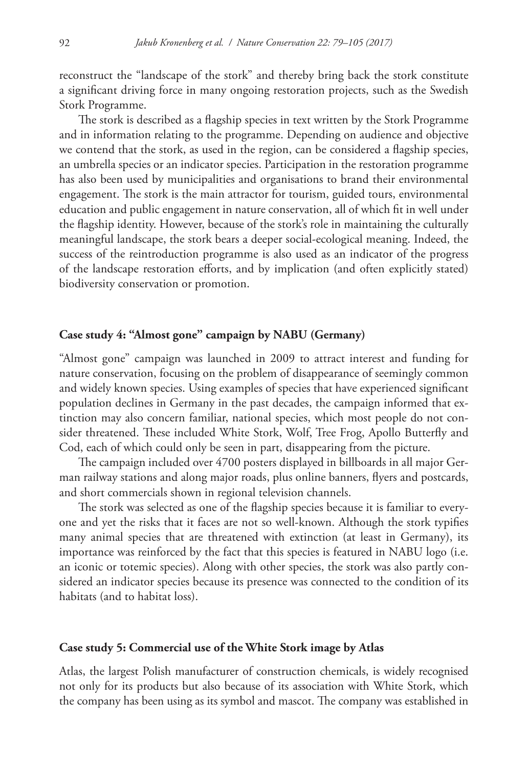reconstruct the "landscape of the stork" and thereby bring back the stork constitute a significant driving force in many ongoing restoration projects, such as the Swedish Stork Programme.

The stork is described as a flagship species in text written by the Stork Programme and in information relating to the programme. Depending on audience and objective we contend that the stork, as used in the region, can be considered a flagship species, an umbrella species or an indicator species. Participation in the restoration programme has also been used by municipalities and organisations to brand their environmental engagement. The stork is the main attractor for tourism, guided tours, environmental education and public engagement in nature conservation, all of which fit in well under the flagship identity. However, because of the stork's role in maintaining the culturally meaningful landscape, the stork bears a deeper social-ecological meaning. Indeed, the success of the reintroduction programme is also used as an indicator of the progress of the landscape restoration efforts, and by implication (and often explicitly stated) biodiversity conservation or promotion.

# **Case study 4: "Almost gone" campaign by NABU (Germany)**

"Almost gone" campaign was launched in 2009 to attract interest and funding for nature conservation, focusing on the problem of disappearance of seemingly common and widely known species. Using examples of species that have experienced significant population declines in Germany in the past decades, the campaign informed that extinction may also concern familiar, national species, which most people do not consider threatened. These included White Stork, Wolf, Tree Frog, Apollo Butterfly and Cod, each of which could only be seen in part, disappearing from the picture.

The campaign included over 4700 posters displayed in billboards in all major German railway stations and along major roads, plus online banners, flyers and postcards, and short commercials shown in regional television channels.

The stork was selected as one of the flagship species because it is familiar to everyone and yet the risks that it faces are not so well-known. Although the stork typifies many animal species that are threatened with extinction (at least in Germany), its importance was reinforced by the fact that this species is featured in NABU logo (i.e. an iconic or totemic species). Along with other species, the stork was also partly considered an indicator species because its presence was connected to the condition of its habitats (and to habitat loss).

## **Case study 5: Commercial use of the White Stork image by Atlas**

Atlas, the largest Polish manufacturer of construction chemicals, is widely recognised not only for its products but also because of its association with White Stork, which the company has been using as its symbol and mascot. The company was established in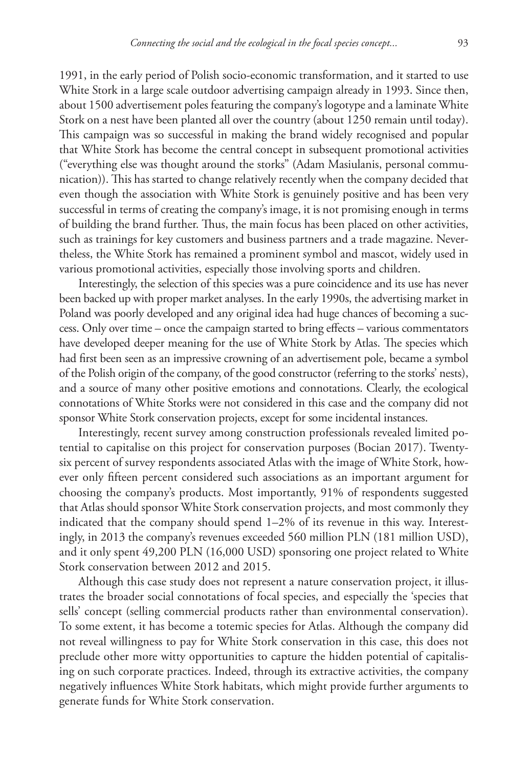1991, in the early period of Polish socio-economic transformation, and it started to use White Stork in a large scale outdoor advertising campaign already in 1993. Since then, about 1500 advertisement poles featuring the company's logotype and a laminate White Stork on a nest have been planted all over the country (about 1250 remain until today). This campaign was so successful in making the brand widely recognised and popular that White Stork has become the central concept in subsequent promotional activities ("everything else was thought around the storks" (Adam Masiulanis, personal communication)). This has started to change relatively recently when the company decided that even though the association with White Stork is genuinely positive and has been very successful in terms of creating the company's image, it is not promising enough in terms of building the brand further. Thus, the main focus has been placed on other activities, such as trainings for key customers and business partners and a trade magazine. Nevertheless, the White Stork has remained a prominent symbol and mascot, widely used in various promotional activities, especially those involving sports and children.

Interestingly, the selection of this species was a pure coincidence and its use has never been backed up with proper market analyses. In the early 1990s, the advertising market in Poland was poorly developed and any original idea had huge chances of becoming a success. Only over time – once the campaign started to bring effects – various commentators have developed deeper meaning for the use of White Stork by Atlas. The species which had first been seen as an impressive crowning of an advertisement pole, became a symbol of the Polish origin of the company, of the good constructor (referring to the storks' nests), and a source of many other positive emotions and connotations. Clearly, the ecological connotations of White Storks were not considered in this case and the company did not sponsor White Stork conservation projects, except for some incidental instances.

Interestingly, recent survey among construction professionals revealed limited potential to capitalise on this project for conservation purposes (Bocian 2017). Twentysix percent of survey respondents associated Atlas with the image of White Stork, however only fifteen percent considered such associations as an important argument for choosing the company's products. Most importantly, 91% of respondents suggested that Atlas should sponsor White Stork conservation projects, and most commonly they indicated that the company should spend 1–2% of its revenue in this way. Interestingly, in 2013 the company's revenues exceeded 560 million PLN (181 million USD), and it only spent 49,200 PLN (16,000 USD) sponsoring one project related to White Stork conservation between 2012 and 2015.

Although this case study does not represent a nature conservation project, it illustrates the broader social connotations of focal species, and especially the 'species that sells' concept (selling commercial products rather than environmental conservation). To some extent, it has become a totemic species for Atlas. Although the company did not reveal willingness to pay for White Stork conservation in this case, this does not preclude other more witty opportunities to capture the hidden potential of capitalising on such corporate practices. Indeed, through its extractive activities, the company negatively influences White Stork habitats, which might provide further arguments to generate funds for White Stork conservation.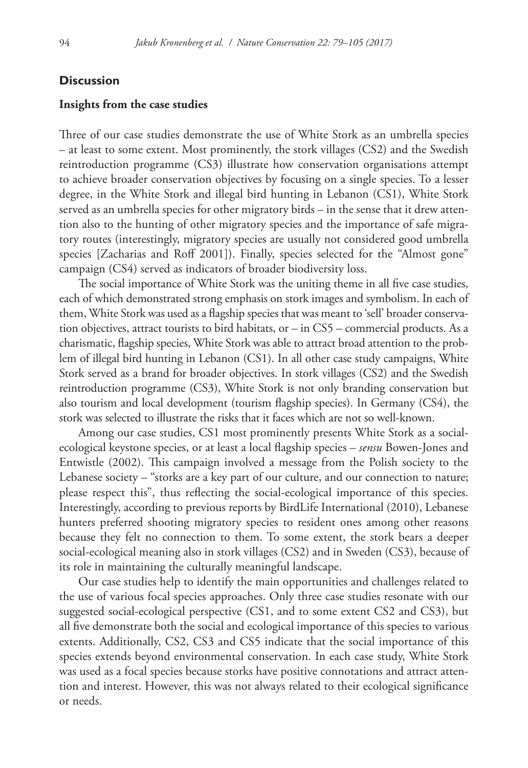## **Discussion**

#### **Insights from the case studies**

Three of our case studies demonstrate the use of White Stork as an umbrella species – at least to some extent. Most prominently, the stork villages (CS2) and the Swedish reintroduction programme (CS3) illustrate how conservation organisations attempt to achieve broader conservation objectives by focusing on a single species. To a lesser degree, in the White Stork and illegal bird hunting in Lebanon (CS1), White Stork served as an umbrella species for other migratory birds – in the sense that it drew attention also to the hunting of other migratory species and the importance of safe migratory routes (interestingly, migratory species are usually not considered good umbrella species [Zacharias and Roff 2001]). Finally, species selected for the "Almost gone" campaign (CS4) served as indicators of broader biodiversity loss.

The social importance of White Stork was the uniting theme in all five case studies, each of which demonstrated strong emphasis on stork images and symbolism. In each of them, White Stork was used as a flagship species that was meant to 'sell' broader conservation objectives, attract tourists to bird habitats, or – in CS5 – commercial products. As a charismatic, flagship species, White Stork was able to attract broad attention to the problem of illegal bird hunting in Lebanon (CS1). In all other case study campaigns, White Stork served as a brand for broader objectives. In stork villages (CS2) and the Swedish reintroduction programme (CS3), White Stork is not only branding conservation but also tourism and local development (tourism flagship species). In Germany (CS4), the stork was selected to illustrate the risks that it faces which are not so well-known.

Among our case studies, CS1 most prominently presents White Stork as a socialecological keystone species, or at least a local flagship species – *sensu* Bowen-Jones and Entwistle (2002). This campaign involved a message from the Polish society to the Lebanese society – "storks are a key part of our culture, and our connection to nature; please respect this", thus reflecting the social-ecological importance of this species. Interestingly, according to previous reports by BirdLife International (2010), Lebanese hunters preferred shooting migratory species to resident ones among other reasons because they felt no connection to them. To some extent, the stork bears a deeper social-ecological meaning also in stork villages (CS2) and in Sweden (CS3), because of its role in maintaining the culturally meaningful landscape.

Our case studies help to identify the main opportunities and challenges related to the use of various focal species approaches. Only three case studies resonate with our suggested social-ecological perspective (CS1, and to some extent CS2 and CS3), but all five demonstrate both the social and ecological importance of this species to various extents. Additionally, CS2, CS3 and CS5 indicate that the social importance of this species extends beyond environmental conservation. In each case study, White Stork was used as a focal species because storks have positive connotations and attract attention and interest. However, this was not always related to their ecological significance or needs.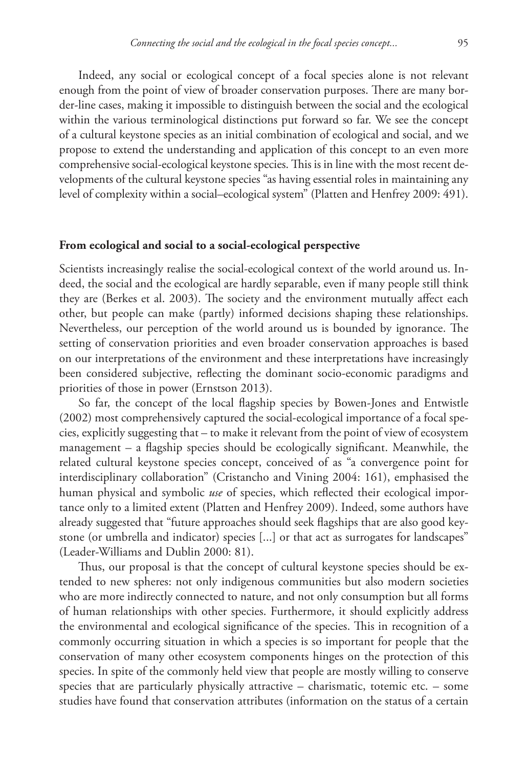Indeed, any social or ecological concept of a focal species alone is not relevant enough from the point of view of broader conservation purposes. There are many border-line cases, making it impossible to distinguish between the social and the ecological within the various terminological distinctions put forward so far. We see the concept of a cultural keystone species as an initial combination of ecological and social, and we propose to extend the understanding and application of this concept to an even more comprehensive social-ecological keystone species. This is in line with the most recent developments of the cultural keystone species "as having essential roles in maintaining any level of complexity within a social–ecological system" (Platten and Henfrey 2009: 491).

#### **From ecological and social to a social-ecological perspective**

Scientists increasingly realise the social-ecological context of the world around us. Indeed, the social and the ecological are hardly separable, even if many people still think they are (Berkes et al. 2003). The society and the environment mutually affect each other, but people can make (partly) informed decisions shaping these relationships. Nevertheless, our perception of the world around us is bounded by ignorance. The setting of conservation priorities and even broader conservation approaches is based on our interpretations of the environment and these interpretations have increasingly been considered subjective, reflecting the dominant socio-economic paradigms and priorities of those in power (Ernstson 2013).

So far, the concept of the local flagship species by Bowen-Jones and Entwistle (2002) most comprehensively captured the social-ecological importance of a focal species, explicitly suggesting that – to make it relevant from the point of view of ecosystem management – a flagship species should be ecologically significant. Meanwhile, the related cultural keystone species concept, conceived of as "a convergence point for interdisciplinary collaboration" (Cristancho and Vining 2004: 161), emphasised the human physical and symbolic *use* of species, which reflected their ecological importance only to a limited extent (Platten and Henfrey 2009). Indeed, some authors have already suggested that "future approaches should seek flagships that are also good keystone (or umbrella and indicator) species [...] or that act as surrogates for landscapes" (Leader-Williams and Dublin 2000: 81).

Thus, our proposal is that the concept of cultural keystone species should be extended to new spheres: not only indigenous communities but also modern societies who are more indirectly connected to nature, and not only consumption but all forms of human relationships with other species. Furthermore, it should explicitly address the environmental and ecological significance of the species. This in recognition of a commonly occurring situation in which a species is so important for people that the conservation of many other ecosystem components hinges on the protection of this species. In spite of the commonly held view that people are mostly willing to conserve species that are particularly physically attractive  $-$  charismatic, totemic etc.  $-$  some studies have found that conservation attributes (information on the status of a certain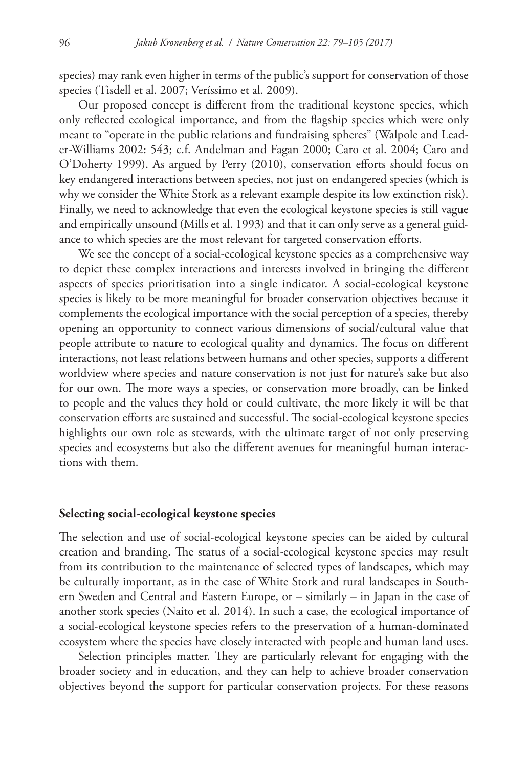species) may rank even higher in terms of the public's support for conservation of those species (Tisdell et al. 2007; Veríssimo et al. 2009).

Our proposed concept is different from the traditional keystone species, which only reflected ecological importance, and from the flagship species which were only meant to "operate in the public relations and fundraising spheres" (Walpole and Leader-Williams 2002: 543; c.f. Andelman and Fagan 2000; Caro et al. 2004; Caro and O'Doherty 1999). As argued by Perry (2010), conservation efforts should focus on key endangered interactions between species, not just on endangered species (which is why we consider the White Stork as a relevant example despite its low extinction risk). Finally, we need to acknowledge that even the ecological keystone species is still vague and empirically unsound (Mills et al. 1993) and that it can only serve as a general guidance to which species are the most relevant for targeted conservation efforts.

We see the concept of a social-ecological keystone species as a comprehensive way to depict these complex interactions and interests involved in bringing the different aspects of species prioritisation into a single indicator. A social-ecological keystone species is likely to be more meaningful for broader conservation objectives because it complements the ecological importance with the social perception of a species, thereby opening an opportunity to connect various dimensions of social/cultural value that people attribute to nature to ecological quality and dynamics. The focus on different interactions, not least relations between humans and other species, supports a different worldview where species and nature conservation is not just for nature's sake but also for our own. The more ways a species, or conservation more broadly, can be linked to people and the values they hold or could cultivate, the more likely it will be that conservation efforts are sustained and successful. The social-ecological keystone species highlights our own role as stewards, with the ultimate target of not only preserving species and ecosystems but also the different avenues for meaningful human interactions with them.

#### **Selecting social-ecological keystone species**

The selection and use of social-ecological keystone species can be aided by cultural creation and branding. The status of a social-ecological keystone species may result from its contribution to the maintenance of selected types of landscapes, which may be culturally important, as in the case of White Stork and rural landscapes in Southern Sweden and Central and Eastern Europe, or – similarly – in Japan in the case of another stork species (Naito et al. 2014). In such a case, the ecological importance of a social-ecological keystone species refers to the preservation of a human-dominated ecosystem where the species have closely interacted with people and human land uses.

Selection principles matter. They are particularly relevant for engaging with the broader society and in education, and they can help to achieve broader conservation objectives beyond the support for particular conservation projects. For these reasons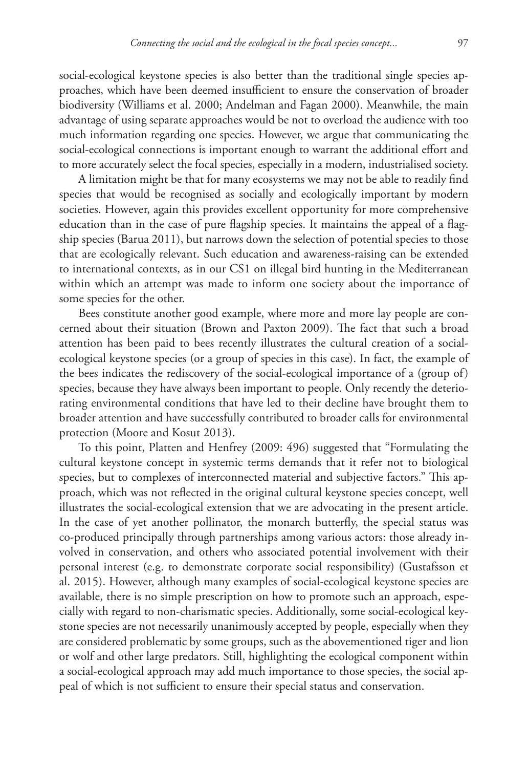social-ecological keystone species is also better than the traditional single species approaches, which have been deemed insufficient to ensure the conservation of broader biodiversity (Williams et al. 2000; Andelman and Fagan 2000). Meanwhile, the main advantage of using separate approaches would be not to overload the audience with too much information regarding one species. However, we argue that communicating the social-ecological connections is important enough to warrant the additional effort and to more accurately select the focal species, especially in a modern, industrialised society.

A limitation might be that for many ecosystems we may not be able to readily find species that would be recognised as socially and ecologically important by modern societies. However, again this provides excellent opportunity for more comprehensive education than in the case of pure flagship species. It maintains the appeal of a flagship species (Barua 2011), but narrows down the selection of potential species to those that are ecologically relevant. Such education and awareness-raising can be extended to international contexts, as in our CS1 on illegal bird hunting in the Mediterranean within which an attempt was made to inform one society about the importance of some species for the other.

Bees constitute another good example, where more and more lay people are concerned about their situation (Brown and Paxton 2009). The fact that such a broad attention has been paid to bees recently illustrates the cultural creation of a socialecological keystone species (or a group of species in this case). In fact, the example of the bees indicates the rediscovery of the social-ecological importance of a (group of) species, because they have always been important to people. Only recently the deteriorating environmental conditions that have led to their decline have brought them to broader attention and have successfully contributed to broader calls for environmental protection (Moore and Kosut 2013).

To this point, Platten and Henfrey (2009: 496) suggested that "Formulating the cultural keystone concept in systemic terms demands that it refer not to biological species, but to complexes of interconnected material and subjective factors." This approach, which was not reflected in the original cultural keystone species concept, well illustrates the social-ecological extension that we are advocating in the present article. In the case of yet another pollinator, the monarch butterfly, the special status was co-produced principally through partnerships among various actors: those already involved in conservation, and others who associated potential involvement with their personal interest (e.g. to demonstrate corporate social responsibility) (Gustafsson et al. 2015). However, although many examples of social-ecological keystone species are available, there is no simple prescription on how to promote such an approach, especially with regard to non-charismatic species. Additionally, some social-ecological keystone species are not necessarily unanimously accepted by people, especially when they are considered problematic by some groups, such as the abovementioned tiger and lion or wolf and other large predators. Still, highlighting the ecological component within a social-ecological approach may add much importance to those species, the social appeal of which is not sufficient to ensure their special status and conservation.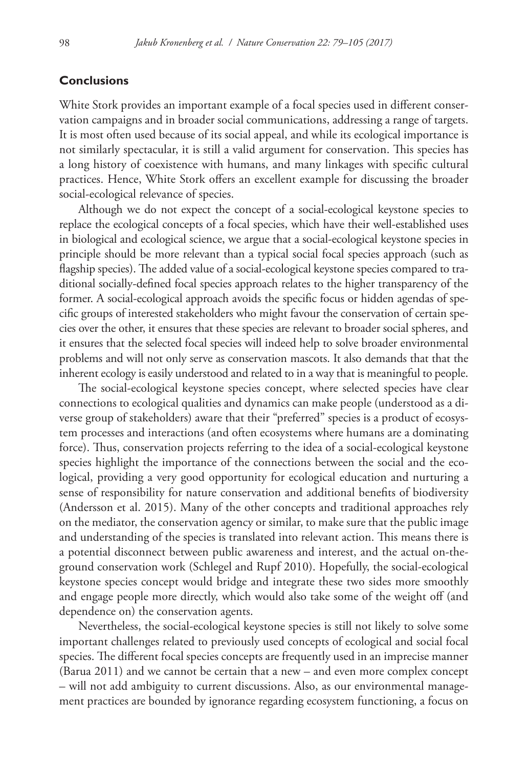# **Conclusions**

White Stork provides an important example of a focal species used in different conservation campaigns and in broader social communications, addressing a range of targets. It is most often used because of its social appeal, and while its ecological importance is not similarly spectacular, it is still a valid argument for conservation. This species has a long history of coexistence with humans, and many linkages with specific cultural practices. Hence, White Stork offers an excellent example for discussing the broader social-ecological relevance of species.

Although we do not expect the concept of a social-ecological keystone species to replace the ecological concepts of a focal species, which have their well-established uses in biological and ecological science, we argue that a social-ecological keystone species in principle should be more relevant than a typical social focal species approach (such as flagship species). The added value of a social-ecological keystone species compared to traditional socially-defined focal species approach relates to the higher transparency of the former. A social-ecological approach avoids the specific focus or hidden agendas of specific groups of interested stakeholders who might favour the conservation of certain species over the other, it ensures that these species are relevant to broader social spheres, and it ensures that the selected focal species will indeed help to solve broader environmental problems and will not only serve as conservation mascots. It also demands that that the inherent ecology is easily understood and related to in a way that is meaningful to people.

The social-ecological keystone species concept, where selected species have clear connections to ecological qualities and dynamics can make people (understood as a diverse group of stakeholders) aware that their "preferred" species is a product of ecosystem processes and interactions (and often ecosystems where humans are a dominating force). Thus, conservation projects referring to the idea of a social-ecological keystone species highlight the importance of the connections between the social and the ecological, providing a very good opportunity for ecological education and nurturing a sense of responsibility for nature conservation and additional benefits of biodiversity (Andersson et al. 2015). Many of the other concepts and traditional approaches rely on the mediator, the conservation agency or similar, to make sure that the public image and understanding of the species is translated into relevant action. This means there is a potential disconnect between public awareness and interest, and the actual on-theground conservation work (Schlegel and Rupf 2010). Hopefully, the social-ecological keystone species concept would bridge and integrate these two sides more smoothly and engage people more directly, which would also take some of the weight off (and dependence on) the conservation agents.

Nevertheless, the social-ecological keystone species is still not likely to solve some important challenges related to previously used concepts of ecological and social focal species. The different focal species concepts are frequently used in an imprecise manner (Barua 2011) and we cannot be certain that a new – and even more complex concept – will not add ambiguity to current discussions. Also, as our environmental management practices are bounded by ignorance regarding ecosystem functioning, a focus on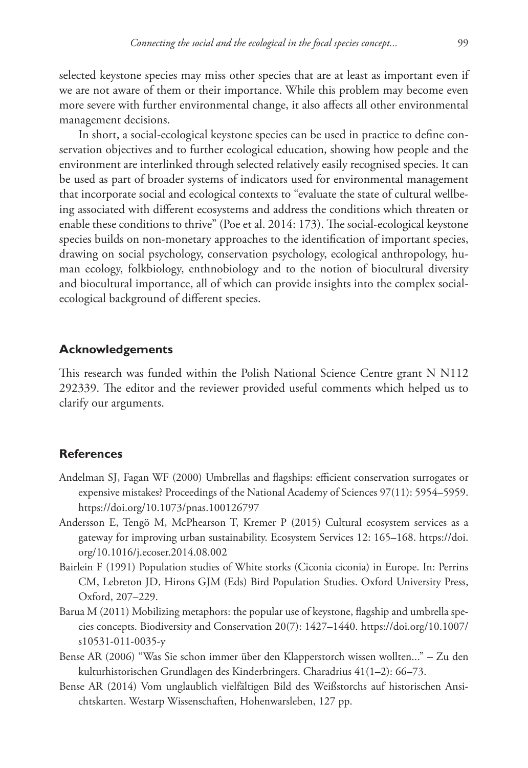selected keystone species may miss other species that are at least as important even if we are not aware of them or their importance. While this problem may become even more severe with further environmental change, it also affects all other environmental management decisions.

In short, a social-ecological keystone species can be used in practice to define conservation objectives and to further ecological education, showing how people and the environment are interlinked through selected relatively easily recognised species. It can be used as part of broader systems of indicators used for environmental management that incorporate social and ecological contexts to "evaluate the state of cultural wellbeing associated with different ecosystems and address the conditions which threaten or enable these conditions to thrive" (Poe et al. 2014: 173). The social-ecological keystone species builds on non-monetary approaches to the identification of important species, drawing on social psychology, conservation psychology, ecological anthropology, human ecology, folkbiology, enthnobiology and to the notion of biocultural diversity and biocultural importance, all of which can provide insights into the complex socialecological background of different species.

# **Acknowledgements**

This research was funded within the Polish National Science Centre grant N N112 292339. The editor and the reviewer provided useful comments which helped us to clarify our arguments.

# **References**

- Andelman SJ, Fagan WF (2000) Umbrellas and flagships: efficient conservation surrogates or expensive mistakes? Proceedings of the National Academy of Sciences 97(11): 5954–5959. <https://doi.org/10.1073/pnas.100126797>
- Andersson E, Tengö M, McPhearson T, Kremer P (2015) Cultural ecosystem services as a gateway for improving urban sustainability. Ecosystem Services 12: 165–168. [https://doi.](https://doi.org/10.1016/j.ecoser.2014.08.002) [org/10.1016/j.ecoser.2014.08.002](https://doi.org/10.1016/j.ecoser.2014.08.002)
- Bairlein F (1991) Population studies of White storks (Ciconia ciconia) in Europe. In: Perrins CM, Lebreton JD, Hirons GJM (Eds) Bird Population Studies. Oxford University Press, Oxford, 207–229.
- Barua M (2011) Mobilizing metaphors: the popular use of keystone, flagship and umbrella species concepts. Biodiversity and Conservation 20(7): 1427–1440. [https://doi.org/10.1007/](https://doi.org/10.1007/s10531-011-0035-y) [s10531-011-0035-y](https://doi.org/10.1007/s10531-011-0035-y)
- Bense AR (2006) "Was Sie schon immer über den Klapperstorch wissen wollten..." Zu den kulturhistorischen Grundlagen des Kinderbringers. Charadrius 41(1–2): 66–73.
- Bense AR (2014) Vom unglaublich vielfältigen Bild des Weißstorchs auf historischen Ansichtskarten. Westarp Wissenschaften, Hohenwarsleben, 127 pp.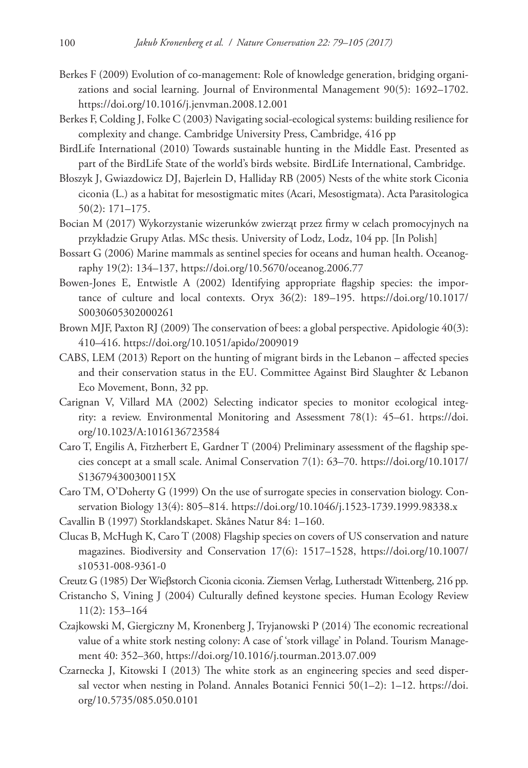- Berkes F (2009) Evolution of co-management: Role of knowledge generation, bridging organizations and social learning. Journal of Environmental Management 90(5): 1692–1702. <https://doi.org/10.1016/j.jenvman.2008.12.001>
- Berkes F, Colding J, Folke C (2003) Navigating social-ecological systems: building resilience for complexity and change. Cambridge University Press, Cambridge, 416 pp
- BirdLife International (2010) Towards sustainable hunting in the Middle East. Presented as part of the BirdLife State of the world's birds website. BirdLife International, Cambridge.
- Błoszyk J, Gwiazdowicz DJ, Bajerlein D, Halliday RB (2005) Nests of the white stork Ciconia ciconia (L.) as a habitat for mesostigmatic mites (Acari, Mesostigmata). Acta Parasitologica 50(2): 171–175.
- Bocian M (2017) Wykorzystanie wizerunków zwierząt przez firmy w celach promocyjnych na przykładzie Grupy Atlas. MSc thesis. University of Lodz, Lodz, 104 pp. [In Polish]
- Bossart G (2006) Marine mammals as sentinel species for oceans and human health. Oceanography 19(2): 134–137,<https://doi.org/10.5670/oceanog.2006.77>
- Bowen-Jones E, Entwistle A (2002) Identifying appropriate flagship species: the importance of culture and local contexts. Oryx 36(2): 189–195. [https://doi.org/10.1017/](https://doi.org/10.1017/S0030605302000261) [S0030605302000261](https://doi.org/10.1017/S0030605302000261)
- Brown MJF, Paxton RJ (2009) The conservation of bees: a global perspective. Apidologie 40(3): 410–416.<https://doi.org/10.1051/apido/2009019>
- CABS, LEM (2013) Report on the hunting of migrant birds in the Lebanon affected species and their conservation status in the EU. Committee Against Bird Slaughter & Lebanon Eco Movement, Bonn, 32 pp.
- Carignan V, Villard MA (2002) Selecting indicator species to monitor ecological integrity: a review. Environmental Monitoring and Assessment 78(1): 45–61. [https://doi.](https://doi.org/10.1023/A:1016136723584) [org/10.1023/A:1016136723584](https://doi.org/10.1023/A:1016136723584)
- Caro T, Engilis A, Fitzherbert E, Gardner T (2004) Preliminary assessment of the flagship species concept at a small scale. Animal Conservation 7(1): 63–70. [https://doi.org/10.1017/](https://doi.org/10.1017/S136794300300115X) [S136794300300115X](https://doi.org/10.1017/S136794300300115X)
- Caro TM, O'Doherty G (1999) On the use of surrogate species in conservation biology. Conservation Biology 13(4): 805–814.<https://doi.org/10.1046/j.1523-1739.1999.98338.x>
- Cavallin B (1997) Storklandskapet. Skånes Natur 84: 1–160.
- Clucas B, McHugh K, Caro T (2008) Flagship species on covers of US conservation and nature magazines. Biodiversity and Conservation 17(6): 1517–1528, [https://doi.org/10.1007/](https://doi.org/10.1007/s10531-008-9361-0) [s10531-008-9361-0](https://doi.org/10.1007/s10531-008-9361-0)
- Creutz G (1985) Der Wieβstorch Ciconia ciconia. Ziemsen Verlag, Lutherstadt Wittenberg, 216 pp.
- Cristancho S, Vining J (2004) Culturally defined keystone species. Human Ecology Review 11(2): 153–164
- Czajkowski M, Giergiczny M, Kronenberg J, Tryjanowski P (2014) The economic recreational value of a white stork nesting colony: A case of 'stork village' in Poland. Tourism Management 40: 352–360,<https://doi.org/10.1016/j.tourman.2013.07.009>
- Czarnecka J, Kitowski I (2013) The white stork as an engineering species and seed dispersal vector when nesting in Poland. Annales Botanici Fennici 50(1–2): 1–12. [https://doi.](https://doi.org/10.5735/085.050.0101) [org/10.5735/085.050.0101](https://doi.org/10.5735/085.050.0101)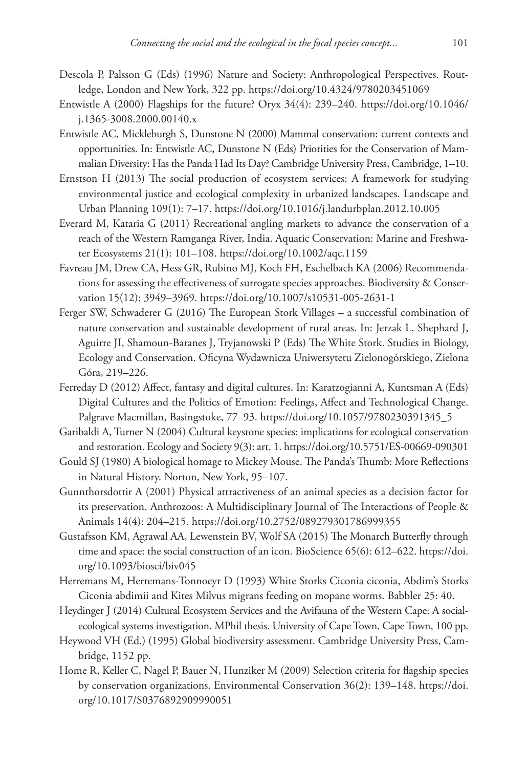- Descola P, Palsson G (Eds) (1996) Nature and Society: Anthropological Perspectives. Routledge, London and New York, 322 pp.<https://doi.org/10.4324/9780203451069>
- Entwistle A (2000) Flagships for the future? Oryx 34(4): 239–240. [https://doi.org/10.1046/](https://doi.org/10.1046/j.1365-3008.2000.00140.x) [j.1365-3008.2000.00140.x](https://doi.org/10.1046/j.1365-3008.2000.00140.x)
- Entwistle AC, Mickleburgh S, Dunstone N (2000) Mammal conservation: current contexts and opportunities. In: Entwistle AC, Dunstone N (Eds) Priorities for the Conservation of Mammalian Diversity: Has the Panda Had Its Day? Cambridge University Press, Cambridge, 1–10.
- Ernstson H (2013) The social production of ecosystem services: A framework for studying environmental justice and ecological complexity in urbanized landscapes. Landscape and Urban Planning 109(1): 7–17.<https://doi.org/10.1016/j.landurbplan.2012.10.005>
- Everard M, Kataria G (2011) Recreational angling markets to advance the conservation of a reach of the Western Ramganga River, India. Aquatic Conservation: Marine and Freshwater Ecosystems 21(1): 101–108. <https://doi.org/10.1002/aqc.1159>
- Favreau JM, Drew CA, Hess GR, Rubino MJ, Koch FH, Eschelbach KA (2006) Recommendations for assessing the effectiveness of surrogate species approaches. Biodiversity & Conservation 15(12): 3949–3969.<https://doi.org/10.1007/s10531-005-2631-1>
- Ferger SW, Schwaderer G (2016) The European Stork Villages a successful combination of nature conservation and sustainable development of rural areas. In: Jerzak L, Shephard J, Aguirre JI, Shamoun-Baranes J, Tryjanowski P (Eds) The White Stork. Studies in Biology, Ecology and Conservation. Oficyna Wydawnicza Uniwersytetu Zielonogórskiego, Zielona Góra, 219–226.
- Ferreday D (2012) Affect, fantasy and digital cultures. In: Karatzogianni A, Kuntsman A (Eds) Digital Cultures and the Politics of Emotion: Feelings, Affect and Technological Change. Palgrave Macmillan, Basingstoke, 77–93. [https://doi.org/10.1057/9780230391345\\_5](https://doi.org/10.1057/9780230391345_5)
- Garibaldi A, Turner N (2004) Cultural keystone species: implications for ecological conservation and restoration. Ecology and Society 9(3): art. 1.<https://doi.org/10.5751/ES-00669-090301>
- Gould SJ (1980) A biological homage to Mickey Mouse. The Panda's Thumb: More Reflections in Natural History. Norton, New York, 95–107.
- Gunnthorsdottir A (2001) Physical attractiveness of an animal species as a decision factor for its preservation. Anthrozoos: A Multidisciplinary Journal of The Interactions of People & Animals 14(4): 204–215.<https://doi.org/10.2752/089279301786999355>
- Gustafsson KM, Agrawal AA, Lewenstein BV, Wolf SA (2015) The Monarch Butterfly through time and space: the social construction of an icon. BioScience 65(6): 612–622. [https://doi.](https://doi.org/10.1093/biosci/biv045) [org/10.1093/biosci/biv045](https://doi.org/10.1093/biosci/biv045)
- Herremans M, Herremans-Tonnoeyr D (1993) White Storks Ciconia ciconia, Abdim's Storks Ciconia abdimii and Kites Milvus migrans feeding on mopane worms. Babbler 25: 40.
- Heydinger J (2014) Cultural Ecosystem Services and the Avifauna of the Western Cape: A socialecological systems investigation. MPhil thesis. University of Cape Town, Cape Town, 100 pp.
- Heywood VH (Ed.) (1995) Global biodiversity assessment. Cambridge University Press, Cambridge, 1152 pp.
- Home R, Keller C, Nagel P, Bauer N, Hunziker M (2009) Selection criteria for flagship species by conservation organizations. Environmental Conservation 36(2): 139–148. [https://doi.](https://doi.org/10.1017/S0376892909990051) [org/10.1017/S0376892909990051](https://doi.org/10.1017/S0376892909990051)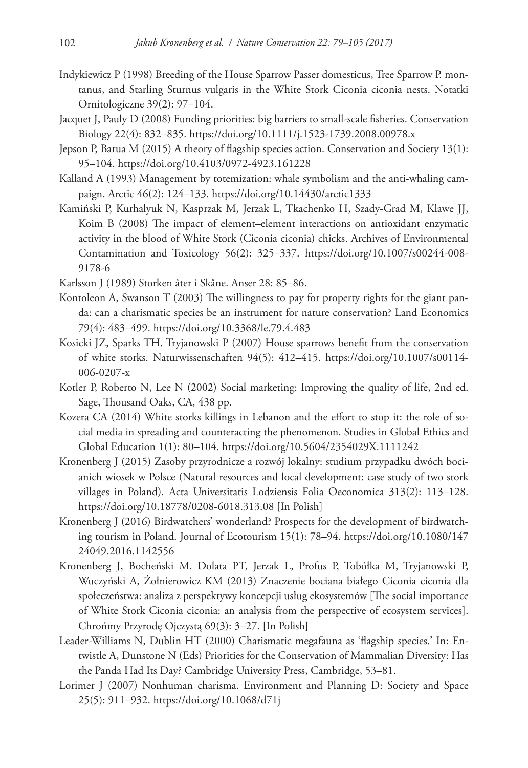- Indykiewicz P (1998) Breeding of the House Sparrow Passer domesticus, Tree Sparrow P. montanus, and Starling Sturnus vulgaris in the White Stork Ciconia ciconia nests. Notatki Ornitologiczne 39(2): 97–104.
- Jacquet J, Pauly D (2008) Funding priorities: big barriers to small-scale fisheries. Conservation Biology 22(4): 832–835. <https://doi.org/10.1111/j.1523-1739.2008.00978.x>
- Jepson P, Barua M (2015) A theory of flagship species action. Conservation and Society 13(1): 95–104.<https://doi.org/10.4103/0972-4923.161228>
- Kalland A (1993) Management by totemization: whale symbolism and the anti-whaling campaign. Arctic 46(2): 124–133. <https://doi.org/10.14430/arctic1333>
- Kamiński P, Kurhalyuk N, Kasprzak M, Jerzak L, Tkachenko H, Szady-Grad M, Klawe JJ, Koim B (2008) The impact of element–element interactions on antioxidant enzymatic activity in the blood of White Stork (Ciconia ciconia) chicks. Archives of Environmental Contamination and Toxicology 56(2): 325–337. [https://doi.org/10.1007/s00244-008-](https://doi.org/10.1007/s00244-008-9178-6) [9178-6](https://doi.org/10.1007/s00244-008-9178-6)
- Karlsson J (1989) Storken åter i Skåne. Anser 28: 85–86.
- Kontoleon A, Swanson T (2003) The willingness to pay for property rights for the giant panda: can a charismatic species be an instrument for nature conservation? Land Economics 79(4): 483–499. <https://doi.org/10.3368/le.79.4.483>
- Kosicki JZ, Sparks TH, Tryjanowski P (2007) House sparrows benefit from the conservation of white storks. Naturwissenschaften 94(5): 412–415. [https://doi.org/10.1007/s00114-](https://doi.org/10.1007/s00114-006-0207-x) [006-0207-x](https://doi.org/10.1007/s00114-006-0207-x)
- Kotler P, Roberto N, Lee N (2002) Social marketing: Improving the quality of life, 2nd ed. Sage, Thousand Oaks, CA, 438 pp.
- Kozera CA (2014) White storks killings in Lebanon and the effort to stop it: the role of social media in spreading and counteracting the phenomenon. Studies in Global Ethics and Global Education 1(1): 80–104. <https://doi.org/10.5604/2354029X.1111242>
- Kronenberg J (2015) Zasoby przyrodnicze a rozwój lokalny: studium przypadku dwóch bocianich wiosek w Polsce (Natural resources and local development: case study of two stork villages in Poland). Acta Universitatis Lodziensis Folia Oeconomica 313(2): 113–128. <https://doi.org/10.18778/0208-6018.313.08>[In Polish]
- Kronenberg J (2016) Birdwatchers' wonderland? Prospects for the development of birdwatching tourism in Poland. Journal of Ecotourism 15(1): 78–94. [https://doi.org/10.1080/147](https://doi.org/10.1080/14724049.2016.1142556) [24049.2016.1142556](https://doi.org/10.1080/14724049.2016.1142556)
- Kronenberg J, Bocheński M, Dolata PT, Jerzak L, Profus P, Tobółka M, Tryjanowski P, Wuczyński A, Żołnierowicz KM (2013) Znaczenie bociana białego Ciconia ciconia dla społeczeństwa: analiza z perspektywy koncepcji usług ekosystemów [The social importance of White Stork Ciconia ciconia: an analysis from the perspective of ecosystem services]. Chrońmy Przyrodę Ojczystą 69(3): 3–27. [In Polish]
- Leader-Williams N, Dublin HT (2000) Charismatic megafauna as 'flagship species.' In: Entwistle A, Dunstone N (Eds) Priorities for the Conservation of Mammalian Diversity: Has the Panda Had Its Day? Cambridge University Press, Cambridge, 53–81.
- Lorimer J (2007) Nonhuman charisma. Environment and Planning D: Society and Space 25(5): 911–932. <https://doi.org/10.1068/d71j>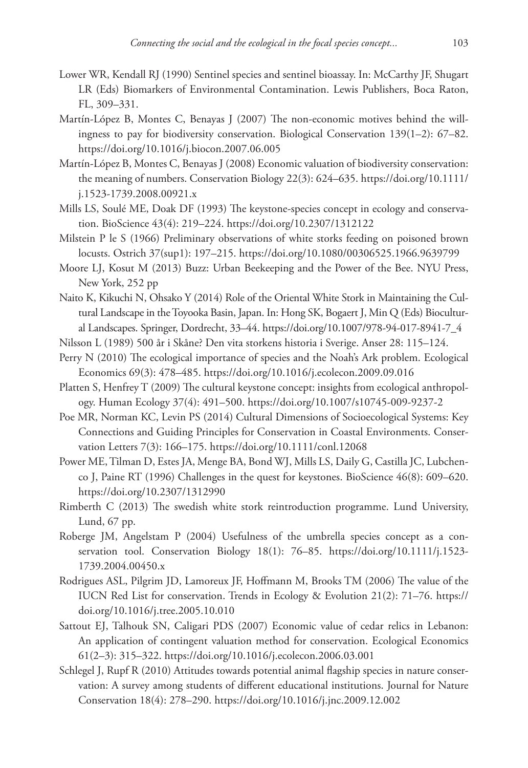- Lower WR, Kendall RJ (1990) Sentinel species and sentinel bioassay. In: McCarthy JF, Shugart LR (Eds) Biomarkers of Environmental Contamination. Lewis Publishers, Boca Raton, FL, 309–331.
- Martín-López B, Montes C, Benayas J (2007) The non-economic motives behind the willingness to pay for biodiversity conservation. Biological Conservation 139(1–2): 67–82. <https://doi.org/10.1016/j.biocon.2007.06.005>
- Martín-López B, Montes C, Benayas J (2008) Economic valuation of biodiversity conservation: the meaning of numbers. Conservation Biology 22(3): 624–635. [https://doi.org/10.1111/](https://doi.org/10.1111/j.1523-1739.2008.00921.x) [j.1523-1739.2008.00921.x](https://doi.org/10.1111/j.1523-1739.2008.00921.x)
- Mills LS, Soulé ME, Doak DF (1993) The keystone-species concept in ecology and conservation. BioScience 43(4): 219–224.<https://doi.org/10.2307/1312122>
- Milstein P le S (1966) Preliminary observations of white storks feeding on poisoned brown locusts. Ostrich 37(sup1): 197–215. <https://doi.org/10.1080/00306525.1966.9639799>
- Moore LJ, Kosut M (2013) Buzz: Urban Beekeeping and the Power of the Bee. NYU Press, New York, 252 pp
- Naito K, Kikuchi N, Ohsako Y (2014) Role of the Oriental White Stork in Maintaining the Cultural Landscape in the Toyooka Basin, Japan. In: Hong SK, Bogaert J, Min Q (Eds) Biocultural Landscapes. Springer, Dordrecht, 33–44. [https://doi.org/10.1007/978-94-017-8941-7\\_4](https://doi.org/10.1007/978-94-017-8941-7_4)
- Nilsson L (1989) 500 år i Skåne? Den vita storkens historia i Sverige. Anser 28: 115–124.
- Perry N (2010) The ecological importance of species and the Noah's Ark problem. Ecological Economics 69(3): 478–485. <https://doi.org/10.1016/j.ecolecon.2009.09.016>
- Platten S, Henfrey T (2009) The cultural keystone concept: insights from ecological anthropology. Human Ecology 37(4): 491–500. <https://doi.org/10.1007/s10745-009-9237-2>
- Poe MR, Norman KC, Levin PS (2014) Cultural Dimensions of Socioecological Systems: Key Connections and Guiding Principles for Conservation in Coastal Environments. Conservation Letters 7(3): 166–175.<https://doi.org/10.1111/conl.12068>
- Power ME, Tilman D, Estes JA, Menge BA, Bond WJ, Mills LS, Daily G, Castilla JC, Lubchenco J, Paine RT (1996) Challenges in the quest for keystones. BioScience 46(8): 609–620. <https://doi.org/10.2307/1312990>
- Rimberth C (2013) The swedish white stork reintroduction programme. Lund University, Lund, 67 pp.
- Roberge JM, Angelstam P (2004) Usefulness of the umbrella species concept as a conservation tool. Conservation Biology 18(1): 76–85. [https://doi.org/10.1111/j.1523-](https://doi.org/10.1111/j.1523-1739.2004.00450.x) [1739.2004.00450.x](https://doi.org/10.1111/j.1523-1739.2004.00450.x)
- Rodrigues ASL, Pilgrim JD, Lamoreux JF, Hoffmann M, Brooks TM (2006) The value of the IUCN Red List for conservation. Trends in Ecology & Evolution 21(2): 71–76. [https://](https://doi.org/10.1016/j.tree.2005.10.010) [doi.org/10.1016/j.tree.2005.10.010](https://doi.org/10.1016/j.tree.2005.10.010)
- Sattout EJ, Talhouk SN, Caligari PDS (2007) Economic value of cedar relics in Lebanon: An application of contingent valuation method for conservation. Ecological Economics 61(2–3): 315–322. <https://doi.org/10.1016/j.ecolecon.2006.03.001>
- Schlegel J, Rupf R (2010) Attitudes towards potential animal flagship species in nature conservation: A survey among students of different educational institutions. Journal for Nature Conservation 18(4): 278–290.<https://doi.org/10.1016/j.jnc.2009.12.002>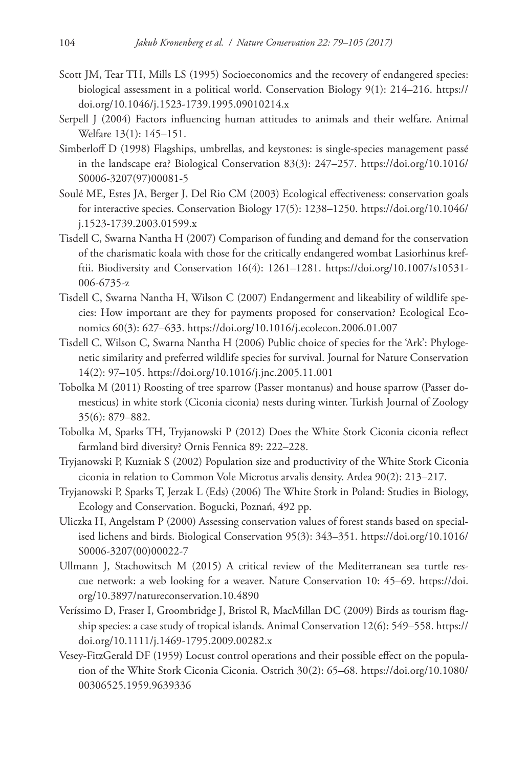- Scott JM, Tear TH, Mills LS (1995) Socioeconomics and the recovery of endangered species: biological assessment in a political world. Conservation Biology 9(1): 214–216. [https://](https://doi.org/10.1046/j.1523-1739.1995.09010214.x) [doi.org/10.1046/j.1523-1739.1995.09010214.x](https://doi.org/10.1046/j.1523-1739.1995.09010214.x)
- Serpell J (2004) Factors influencing human attitudes to animals and their welfare. Animal Welfare 13(1): 145–151.
- Simberloff D (1998) Flagships, umbrellas, and keystones: is single-species management passé in the landscape era? Biological Conservation 83(3): 247–257. [https://doi.org/10.1016/](https://doi.org/10.1016/S0006-3207(97)00081-5) [S0006-3207\(97\)00081-5](https://doi.org/10.1016/S0006-3207(97)00081-5)
- Soulé ME, Estes JA, Berger J, Del Rio CM (2003) Ecological effectiveness: conservation goals for interactive species. Conservation Biology 17(5): 1238–1250. [https://doi.org/10.1046/](https://doi.org/10.1046/j.1523-1739.2003.01599.x) [j.1523-1739.2003.01599.x](https://doi.org/10.1046/j.1523-1739.2003.01599.x)
- Tisdell C, Swarna Nantha H (2007) Comparison of funding and demand for the conservation of the charismatic koala with those for the critically endangered wombat Lasiorhinus krefftii. Biodiversity and Conservation 16(4): 1261–1281. [https://doi.org/10.1007/s10531-](https://doi.org/10.1007/s10531-006-6735-z) [006-6735-z](https://doi.org/10.1007/s10531-006-6735-z)
- Tisdell C, Swarna Nantha H, Wilson C (2007) Endangerment and likeability of wildlife species: How important are they for payments proposed for conservation? Ecological Economics 60(3): 627–633.<https://doi.org/10.1016/j.ecolecon.2006.01.007>
- Tisdell C, Wilson C, Swarna Nantha H (2006) Public choice of species for the 'Ark': Phylogenetic similarity and preferred wildlife species for survival. Journal for Nature Conservation 14(2): 97–105. <https://doi.org/10.1016/j.jnc.2005.11.001>
- Tobolka M (2011) Roosting of tree sparrow (Passer montanus) and house sparrow (Passer domesticus) in white stork (Ciconia ciconia) nests during winter. Turkish Journal of Zoology 35(6): 879–882.
- Tobolka M, Sparks TH, Tryjanowski P (2012) Does the White Stork Ciconia ciconia reflect farmland bird diversity? Ornis Fennica 89: 222–228.
- Tryjanowski P, Kuzniak S (2002) Population size and productivity of the White Stork Ciconia ciconia in relation to Common Vole Microtus arvalis density. Ardea 90(2): 213–217.
- Tryjanowski P, Sparks T, Jerzak L (Eds) (2006) The White Stork in Poland: Studies in Biology, Ecology and Conservation. Bogucki, Poznań, 492 pp.
- Uliczka H, Angelstam P (2000) Assessing conservation values of forest stands based on specialised lichens and birds. Biological Conservation 95(3): 343–351. [https://doi.org/10.1016/](https://doi.org/10.1016/S0006-3207(00)00022-7) [S0006-3207\(00\)00022-7](https://doi.org/10.1016/S0006-3207(00)00022-7)
- Ullmann J, Stachowitsch M (2015) A critical review of the Mediterranean sea turtle rescue network: a web looking for a weaver. Nature Conservation 10: 45–69. [https://doi.](https://doi.org/10.3897/natureconservation.10.4890) [org/10.3897/natureconservation.10.4890](https://doi.org/10.3897/natureconservation.10.4890)
- Veríssimo D, Fraser I, Groombridge J, Bristol R, MacMillan DC (2009) Birds as tourism flagship species: a case study of tropical islands. Animal Conservation 12(6): 549–558. [https://](https://doi.org/10.1111/j.1469-1795.2009.00282.x) [doi.org/10.1111/j.1469-1795.2009.00282.x](https://doi.org/10.1111/j.1469-1795.2009.00282.x)
- Vesey-FitzGerald DF (1959) Locust control operations and their possible effect on the population of the White Stork Ciconia Ciconia. Ostrich 30(2): 65–68. [https://doi.org/10.1080/](https://doi.org/10.1080/00306525.1959.9639336) [00306525.1959.9639336](https://doi.org/10.1080/00306525.1959.9639336)